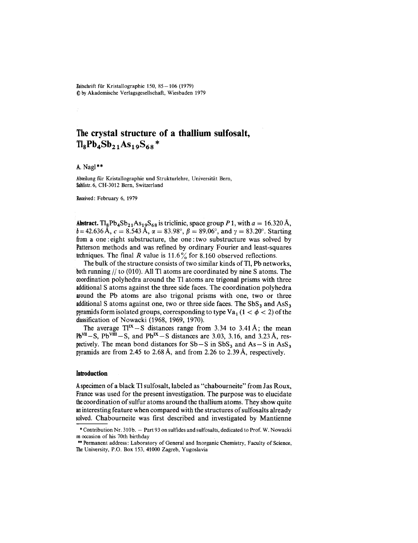$Zeitschrift für Kristallographie 150, 85–106 (1979)$ @ by Akademische Verlagsgesellschaft, Wiesbaden 1979

# **Thecrystal structure of a thallium sulfosalt,**  $T_{8}Pb_{4}Sb_{21}As_{19}S_{68}$ \*

A. Nagl  $**$ 

Abteilung für Kristallographie und Strukturlehre, Universität Bern, Sahlistr. 6, CH-3012 Bern, Switzerland

Received: February 6, 1979

Abstract. Tl<sub>8</sub>Pb<sub>4</sub>Sb<sub>21</sub>As<sub>19</sub>S<sub>68</sub> is triclinic, space group *P* 1, with  $a = 16.320 \text{ Å}$ ,  $b = 42.636 \text{ Å}, c = 8.543 \text{ Å}, \alpha = 83.98^{\circ}, \beta = 89.06^{\circ}, \text{ and } \gamma = 83.20^{\circ}.$  Starting from a one: eight substructure, the one: two substructure was solved by Patterson methods and was refined by ordinary Fourier and least-squares techniques. The final *R* value is 11.6% for 8.160 observed reflections.

The bulk of the structure consists of two similar kinds of Tl, Pb networks, both running  $//$  to (010). All Tl atoms are coordinated by nine S atoms. The coordination polyhedra around the Tl atoms are trigonal prisms with three additional S atoms against the three side faces. The coordination polyhedra around the Pb atoms are also trigonal prisms with one, two or three additional S atoms against one, two or three side faces. The  $SbS<sub>3</sub>$  and  $AssS<sub>3</sub>$ pyramids form isolated groups, corresponding to type Va<sub>1</sub> (1 <  $\phi$  < 2) of the classification of Nowacki (1968, 1969, 1970).

The average  $TI^{IX}-S$  distances range from 3.34 to 3.41 Å; the mear  $Pb<sup>VII</sup> - S$ ,  $Pb<sup>VIII</sup> - S$ , and  $Pb<sup>IX</sup> - S$  distances are 3.03, 3.16, and 3.23 Å, respectively. The mean bond distances for  $Sb-S$  in  $SbS<sub>3</sub>$  and  $As-S$  in  $Ass<sub>3</sub>$ pyramids are from 2.45 to 2.68 A, and from 2.26 to 2.39 A, respectively.

### **Introduction**

Aspecimen of a black TI sulfosalt, labeled as "chabourneite" from Jas Roux, France was used for the present investigation. The purpose was to elucidate thecoordination of sulfur atoms around the thallium atoms. They show quite aninteresting feature when compared with the structures of sulfosalts already solved. Chabourneite was first described and investigated by Mantienne

<sup>\*</sup> Contribution Nr. 310b. — Part 93 on sulfides and sulfosalts, dedicated to Prof. W. Nowac on occasion of his 70th birthday

<sup>\*\*</sup> Permanent address: Laboratory of General and Inorganic Chemistry, Faculty of Science, The University, P.O. Box 153, 41000 Zagreb, Yugoslavia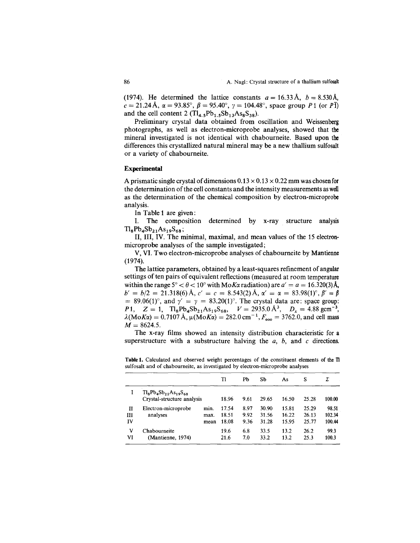(1974). He determined the lattice constants  $a = 16.33 \text{ Å}, b = 8.530 \text{Å},$  $c = 21.24 \text{ Å}, \ \alpha = 93.85^{\circ}, \ \beta = 95.40^{\circ}, \ \gamma = 104.48^{\circ}, \text{ space group } P1 \text{ (or } P1)$ and the cell content 2  $(Tl_{4.5}Pb_{1.5}Sb_{13}As_8S_{38})$ .

Preliminary crystal data obtained from oscillation and Weissenberg photographs, as well as electron-microprobe analyses, showed that the mineral investigated is not identical with chabourneite. Based upon the differences this crystallized natural mineral may be a new thallium sulfosalt or a variety of chabourneite.

## Experimental

A prismatic single crystal of dimensions  $0.13 \times 0.13 \times 0.22$  mm was chosen for the determination of the cell constants and the intensity measurements as well as the determination of the chemical composition by electron-microprobe analysis.

In Table 1 are given:

I. The composition determined by x-ray structure analysis  $Tl_8Pb_4Sb_{21}As_{19}S_{68};$ 

II, III, IV. The minimal, maximal, and mean values of the 15 electronmicroprobe analyses of the sample investigated;

V, VI. Two electron-microprobe analyses of chabourneite by Mantienne (1974).

The lattice parameters, obtained by a least-squares refinement of angular settings of ten pairs of equivalent reflections (measured at room temperature within the range  $5^{\circ} < \theta < 10^{\circ}$  with  $M \circ K \alpha$  radiation) are  $a' = a = 16.320(3)$  Å,  $b' = b/2 = 21.318(6)$  Å,  $c' = c = 8.543(2)$  Å,  $\alpha' = \alpha = 83.98(1)^\circ$ ,  $\beta' = \beta$  $= 89.06(1)$ °, and  $\gamma' = \gamma = 83.20(1)$ °. The crystal data are: space group: *P*<sub>1</sub>,  $Z = 1$ ,  $Tl_8Pb_4Sb_{21}As_{19}S_{68}$ ,  $V = 2935.0 \text{ Å}^3$ ,  $D_x = 4.88 \text{ gcm}^{-3}$ ,  $\lambda(MoK\alpha) = 0.7107 \text{ Å}, \mu(MoK\alpha) = 282.0 \text{ cm}^{-1}, F_{ooo} = 3762.0, \text{and cell mass}$  $M = 8624.5$ .

The x-ray films showed an intensity distribution characteristic for a superstructure with a substructure halving the *a, b,* and c directions.

|     |                                |      | Tl    | Pb   | Sb    | As    | S     | Σ      |
|-----|--------------------------------|------|-------|------|-------|-------|-------|--------|
|     | $Tl_8Pb_4Sb_{21}As_{19}S_{68}$ |      |       |      |       |       |       |        |
|     | Crystal-structure analysis     |      | 18.96 | 9.61 | 29.65 | 16.50 | 25.28 | 100.00 |
| и   | Electron-microprobe            | min. | 17.54 | 8.97 | 30.90 | 15.81 | 25.29 | 98.51  |
| III | analyses                       | max. | 18.51 | 9.92 | 31.56 | 16.22 | 26.13 | 102.34 |
| IV  |                                | mean | 18.08 | 9.36 | 31.28 | 15.95 | 25.77 | 100.44 |
| v   | Chabourneite                   |      | 19.6  | 6.8  | 33.5  | 13.2  | 26.2  | 99.3   |
| VI  | (Mantienne, 1974)              |      | 21.6  | 7.0  | 33.2  | 13.2  | 25.3  | 100.3  |

Table 1. Calculated and observed weight percentages of the constituent elements of the Tl sulfosalt and of chabourneite, as investigated by electron-microprobe analyses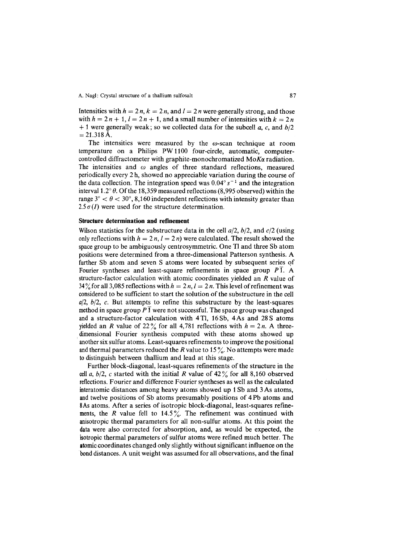Intensities with  $h = 2n$ ,  $k = 2n$ , and  $l = 2n$  were-generally strong, and those with  $h = 2n + 1$ ,  $l = 2n + 1$ , and a small number of intensities with  $k = 2n$ + 1 were generally weak; so we collected data for the subcell *a*, *c*, and *b*/2  $= 21.318$  Å.

The intensities were measured by the  $\omega$ -scan technique at room temperature on a Philips PW 1100 four-circle, automatic, computercontrolled diffractometer with graphite-monochromatized MoKa radiation. The intensities and  $\omega$  angles of three standard reflections, measured periodically every 2 h, showed no appreciable variation during the course of the data collection. The integration speed was  $0.04^{\circ} s^{-1}$  and the integration interval 1.2 $\degree$   $\theta$ . Of the 18,359 measured reflections (8,995 observed) within the range  $3^{\circ} < \theta < 30^{\circ}$ , 8,160 independent reflections with intensity greater than  $2.5\sigma(I)$  were used for the structure determination.

#### **Structure determination and refinement**

Wilson statistics for the substructure data in the cell *aj2, bj2,* and *ej2* (using only reflections with  $h = 2n$ ,  $l = 2n$ ) were calculated. The result showed the space group to be ambiguously centrosymmetric. One TI and three Sb atom positions were determined from a three-dimensional Patterson synthesis. A further Sb atom and seven S atoms were located by subsequent series *qf* Fourier syntheses and least-square refinements in space group *pT.* A structure-factor calculation with atomic coordinates yielded an *R* value of 34% for all 3,085 reflections with  $h = 2 n$ ,  $l = 2 n$ . This level of refinement was considered to be sufficient to start the solution of the substructure in the cell *aj2, bj2,* e. But attempts to refine this substructure by the least-squares method in space group *P* 1 were not successful. The space group was changed and a structure-factor calculation with 4 TI, 16 Sb, 4 As and 28 S atoms yielded an *R* value of 22% for all 4,781 reflections with  $h = 2n$ . A threedimensional Fourier synthesis computed with these atoms showed up another six sulfur atoms. Least-squares refinements to improve the positional and thermal parameters reduced the *R* value to 15 $\%$ . No attempts were made to distinguish between thallium and lead at this stage.

Further block-diagonal, least-squares refinements of the structure in the cell *a*,  $b/2$ , *c* started with the initial *R* value of 42 $\frac{9}{6}$  for all 8,160 observed reflections.Fourier and difference Fourier syntheses as well as the calculated interatomic distances among heavy atoms showed up 1Sb and 3As atoms, and twelve positions of Sb atoms presumably positions of 4 Pb atoms and 8As atoms. After a series of isotropic block-diagonal, least-squares refinements, the *R* value fell to 14.5%. The refinement was continued with anisotropic thermal parameters for all non-sulfur atoms. At this point the data were also corrected for absorption, and, as would be expected, the isotropic thermal parameters of sulfur atoms were refined much better. The atomiccoordinates changed only slightly without significant influence on the bond distances. A unit weight was assumed for all observations, and the final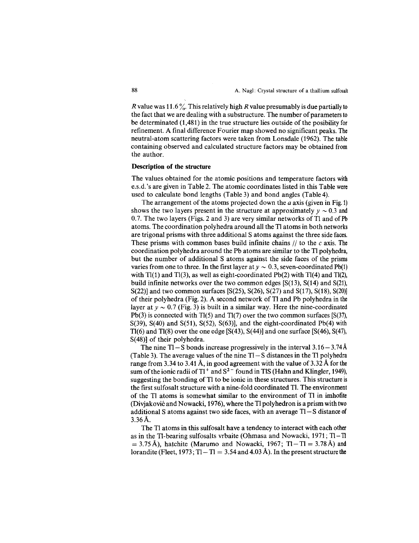*R* value was 11.6%. This relatively high *R* value presumably is due partially to the fact that we are dealing with a substructure. The number of parameters to be determinated (1,481) in the true structure lies outside of the posibility for refinement. A final difference Fourier map showed no significant peaks. The neutral-atom scattering factors were taken from Lonsdale (1962). The table containing observed and calculated structure factors may be obtained from the author.

## **Description of the structure**

The values obtained for the atomic positions and temperature factors with e.s.d.'s are given in Table 2. The atomic coordinates listed in this Table were used to calculate bond lengths (Table 3) and bond angles (Table 4).

The arrangement of the atoms projected down the *a* axis (given in Fig. 1) shows the two layers present in the structure at approximately  $y \sim 0.3$  and  $0.7$ . The two layers (Fig. 2 and 3) are now similar wether of  $T_1$ 0.7. The two layers (Figs. 2 and 3) are very similar networks of Tl and of  $Pb$ atoms. The coordination polyhedra around all the TI atoms in both networks are trigonal prisms with three additional S atoms against the three side faces. These prisms with common bases build infinite chains  $//$  to the c axis. The coordination polyhedra around the Pb atoms are similar to the TI polyhedra, but the number of additional S atoms against the side faces of the prisms varies from one to three. In the first layer at  $y \sim 0.3$ , seven-coordinated Pb(1) with TI(1) and TI(3), as well as eight-coordinated Pb(2) with TI(4) and Tl(2), build infinite networks over the two common edges [S(13), S(14) and S(21), S(22)] and two common surfaces [S(25), S(26), S(27) and S(17), S(18), S(20)] of their polyhedra (Fig. 2). A second network of Tl and Pb polyhedra in the layer at  $y \sim 0.7$  (Fig. 3) is built in a similar way. Here the nine-coordinated<br>  $\sum_{n=0}^{\infty}$ Pb(3) is connected with  $T_1(5)$  and  $T_1(7)$  over the two common surfaces [S(37), S(39), S(40) and S(51), S(52), S(63)], and the eight-coordinated Pb(4) with  $T1(6)$  and  $T1(8)$  over the one edge [S(43), S(44)] and one surface [S(46), S(47), S(48)] of their polyhedra.

The nine  $T1-S$  bonds increase progressively in the interval  $3.16-3.74$ Å (Table 3). The average values of the nine  $TI-S$  distances in the Tl polyhedra range from 3.34 to 3.41 Å, in good agreement with the value of  $3.32 \text{ Å}$  for the sum of the ionic radii of Tl<sup>+</sup> and S<sup>2</sup> found in TlS (Hahn and Klingler, 1949), suggesting the bonding of TI to be ionic in these structures. This structure is the first sulfosalt structure with a nine-fold coordinated Tl. The environment of the TI atoms is somewhat similar to the environment of TI in imhofite (Divjakovic and Nowacki, 1976), where the TI polyhedron is a prism with two additional S atoms against two side faces, with an average  $T1-S$  distance of 3.36A.

The TI atoms in this sulfosalt have a tendency to interact with each other as in the Tl-bearing sulfosalts vrbaite (Ohmasa and Nowacki, 1971; Tl- Tl  $= 3.75 \text{ Å}$ ), hatchite (Marumo and Nowacki, 1967; Tl - Tl = 3.78 Å) and lorandite (Fleet, 1973; Tl – Tl = 3.54 and 4.03 Å). In the present structure the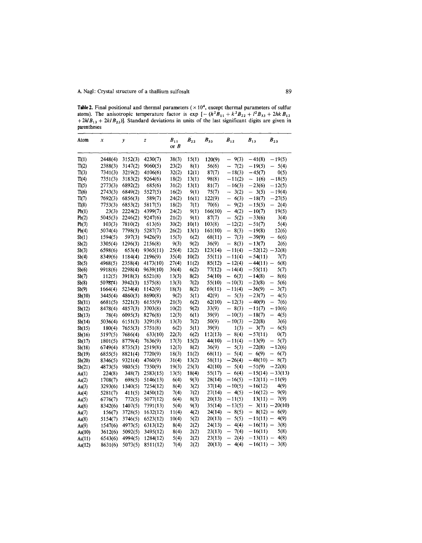**Table 2.** Final positional and thermal parameters  $(\times 10^4)$ , except thermal parameters of sulfur atoms). The anisotropic temperature factor is  $\exp\left[-(h^2B_{11} + k^2B_{22} + l^2B_{33} + 2hkB_1)\right]$ *+2hl*Bl3 + *2kl B23)].* Standard deviations **in** units of the last significant digits are given **in** parentheses  $\overline{\phantom{a}}$ 

| Atom           | x                  | $\mathcal{Y}$      | $\overline{z}$       | $B_{11}$       | $B_{22}$      | $B_{33}$          | $B_{12}$                                     | $B_{13}$                              | $B_{23}$                                 |
|----------------|--------------------|--------------------|----------------------|----------------|---------------|-------------------|----------------------------------------------|---------------------------------------|------------------------------------------|
|                |                    |                    |                      | or $B$         |               |                   |                                              |                                       |                                          |
| Tl(1)          | 2448(4)            | 3152(3)            | 4230(7)              | 38(3)          | 15(1)         | 120(9)            | 9(3)<br>-                                    | $-41(8)$                              | $-19(5)$                                 |
| TI(2)          | 2388(3)            | 3147(2)            | 9060(5)              | 23(2)          | 8(1)          | 56(6)             | 7(2)<br>-                                    | $-19(5)$                              | 5(4)<br>—                                |
| T1(3)          | 7341(3)            | 3219(2)            | 4106(6)              | 32(2)          | 12(1)         | 87(7)             | $-18(3)$                                     | $-45(7)$                              | 0(5)                                     |
| Tl(4)          | 7351(3)            | 3183(2)            | 9264(6)              | 18(2)          | 13(1)         | 98(8)             | $-11(2)$                                     | $-1(6)$                               | $-18(5)$                                 |
| Tl(5)          | 2773(3)            | 6892(2)            | 685(6)               | 31(2)          | 13(1)         | 81(7)             | $-16(3)$                                     | $-23(6)$                              | $-12(5)$                                 |
| T1(6)          | 2743(3)            | 6849(2)            | 5527(5)              | 16(2)          | 9(1)          | 75(7)             | 3(2)<br>-                                    | 3(5)<br>$\overline{\phantom{0}}$      | $-19(4)$                                 |
| Tl(7)          | 7692(3)            | 6856(3)            | 589(7)               | 24(2)          | 16(1)         | 122(9)            | 6(3)<br>$\equiv$                             | $-18(7)$                              | $-27(5)$                                 |
| Tl(8)          | 7753(3)            | 6853(2)            | 5817(5)              | 18(2)          | 7(1)          | 70(6)             | 9(2)<br>-                                    | $-15(5)$                              | $-2(4)$                                  |
| Pb(1)          | 23(3)              | 2224(2)            | 4399(7)              | 24(2)          | 9(1)          | 166(10)           | 4(2)<br>$\overline{\phantom{0}}$             | $-10(7)$                              | 19(5)                                    |
| Pb(2)          | 5045(3)            | 2246(2)            | 9247(6)              | 21(2)          | 9(1)          | 87(7)             | $\overline{\phantom{0}}$<br>5(2)             | $-33(6)$                              | 3(4)                                     |
| Pb(3)          | 103(3)             | 7810(2)            | 613(6)               | 30(2)          | 10(1)         | 103(8)            | $-12(2)$                                     | $-51(7)$                              | 5(4)                                     |
| Pb(4)          | 5074(4)            | 7798(3)            | 5287(7)              | 26(2)          | 13(1)         | 161(10)           | $\overline{\phantom{0}}$<br>8(3)             | $-19(8)$                              | 12(6)                                    |
| Sb(1)          | 1594(5)            | 597(3)             | 9426(9)              | 15(3)          | 6(2)          | 68(11)            | 7(3)<br>$\overline{\phantom{0}}$             | $-39(9)$                              | 6(6)                                     |
| Sb(2)          | 3305(4)            | 1296(3)            | 2156(8)              | 9(3)           | 9(2)          | 36(9)             | $\equiv$<br>8(3)                             | $-13(7)$                              | 2(6)                                     |
| Sb(3)          | 6598(6)            | 653(4)             | 9365(11)             | 25(4)          | 12(2)         | 123(14)           | $-11(4)$                                     | $-52(12) -32(8)$                      |                                          |
|                | 8349(6)            | 1184(4)            | 2196(9)              | 35(4)          | 10(2)         | 55(11)            | $-11(4)$                                     | $-54(11)$                             | 7(7)                                     |
| Sb(4)          | 4968(5)            | 2358(4)            | 4173(10)             | 27(4)          | 11(2)         | 85(12)            | $-12(4)$                                     | $-44(11) -$                           | 6(8)                                     |
| Sb(5)          | 9918(6)            | 2298(4)            | 9639(10)             | 36(4)          | 6(2)          | 77(12)            | $-14(4)$                                     | $-55(11)$                             | 5(7)                                     |
| Sb(6)<br>Sb(7) |                    | 3918(3)            | 6521(8)              | 13(3)          | 8(2)          | 54(10)            | $-6(3)$                                      | $-14(8)$                              | 8(6)<br>-                                |
|                | 112(5)             | 3942(3)            |                      | 13(3)          | 7(2)          | 55(10)            | $-10(3)$                                     | $-23(8)$                              | 5(6)                                     |
| Sb(8)          | 5078(4)            | 5234(4)            | 1575(8)<br>1142(9)   |                |               |                   |                                              |                                       | $\overline{\phantom{0}}$                 |
| Sb(9)          | 1664(4)            |                    |                      | 18(3)          | 8(2)          | 69(11)<br>42(9)   | $-11(4)$                                     | $-36(9)$<br>$-23(7)$                  | 3(7)<br>4(5)<br>$\overline{\phantom{0}}$ |
| Sb(10)         | 3445(4)            | 4860(3)            | 8690(8)              | 9(2)           | 5(1)          |                   | 5(3)<br>$\overline{\phantom{0}}$             |                                       | $\overline{\phantom{0}}$                 |
| Sb(11)         | 6681(5)            | 5221(3)            | 6155(9)              | 21(3)          | 6(2)          | 62(10)            | $-12(3)$<br>8(3)<br>$\overline{\phantom{0}}$ | $-40(9)$<br>$-11(7)$                  | 7(6)<br>$-10(6)$                         |
| Sb(12)         | 8478(4)            | 4857(3)            | 3703(8)              | 10(2)          | 9(2)          | 33(9)             |                                              |                                       | $\equiv$                                 |
| Sb(13)         | 78(4)              | 6095(3)            | 8276(8)              | 12(3)          | 6(1)          | 39(9)             | $-10(3)$<br>$-10(3)$                         | $-18(7)$                              | 4(5)<br>3(6)                             |
| Sb(14)         | 5036(4)            | 6151(3)            | 3291(8)              | 13(3)          | 7(2)          | 50(9)             |                                              | $-22(8)$<br>3(7)                      |                                          |
| Sb(15)         | 180(4)             | 7655(3)            | 5751(8)              | 6(2)           | 5(1)          | 39(9)             | 1(3)                                         | $\overline{\phantom{0}}$<br>$-57(11)$ | 6(5)                                     |
| Sb(16)         | 5197(5)            | 7686(4)<br>8779(4) | 633(10)<br>7636(9)   | 22(3)<br>17(3) | 6(2)<br>15(2) | 112(13)<br>44(10) | 8(4)<br>$\qquad \qquad -$<br>$-11(4)$        | $-13(9)$                              | 0(7)<br>5(7)<br>$\overline{\phantom{0}}$ |
| Sb(17)         | 1801(5)            | 8735(3)            |                      | 12(3)          |               | 36(9)             | 5(3)<br>$\overline{\phantom{0}}$             | $-22(8)$                              | $-12(6)$                                 |
| Sb(18)         | 6749(4)<br>6855(5) | 8821(4)            | 2519(8)<br>7720(9)   | 18(3)          | 8(2)<br>11(2) | 68(11)            | 5(4)<br>$\qquad \qquad -$                    | $-6(9)$                               | $-6(7)$                                  |
| Sb(19)         | 8346(5)            | 9321(4)            | 4760(9)              | 31(4)          | 13(2)         | 58(11)            | $-26(4)$                                     | $-48(10) - 8(7)$                      |                                          |
| Sb(20)         | 4873(5)            | 9805(5)            | 7350(9)              | 19(3)          | 25(3)         | 42(10)            | 5(4)<br>$\overline{\phantom{0}}$             | $-51(9)$                              | $-22(8)$                                 |
| Sb(21)         | 224(8)             | 348(7)             | 2583(15)             | 13(5)          | 18(4)         | 55(17)            | 6(4)<br>$\overline{\phantom{0}}$             |                                       | $-15(14) - 33(13)$                       |
| As(1)          | 1708(7)            | 698(5)             | 5146(13)             | 6(4)           | 9(3)          | 28(14)            | $-16(5)$                                     | $-12(11) -11(9)$                      |                                          |
| As(2)          |                    | 1340(5)            | 7254(12)             | 8(4)           | 3(2)          | 37(14)            | $-10(5)$                                     | $-16(12)$                             | 4(9)                                     |
| As(3)          | 3293(6)<br>5281(7) | 411(5)             | 2450(12)             | 7(4)           | 7(2)          | 27(14)            | 4(5)<br>$\overline{\phantom{0}}$             | $-16(12) -$                           | 9(9)                                     |
| As(4)          |                    |                    | 5077(12)             | 6(4)           |               | 20(13)            | $-11(5)$                                     | $13(11) -$                            | 7(9)                                     |
| As(5)          | 6776(7)<br>8342(6) | 772(5)<br>1407(5)  | 7391(13)             | 5(4)           | 8(3)<br>9(3)  | 35(14)            | $-13(5)$                                     |                                       | $3(11) - 20(10)$                         |
| As(6)          |                    | 3728(5)            |                      | 11(4)          | 4(2)          | 24(14)            | 8(5)<br>-                                    | $-8(12) -$                            | 6(9)                                     |
| As(7)          | 156(7)             | 3746(5)            | 1632(12)<br>6523(12) | 10(4)          | 5(2)          | 20(13)            | 5(5)<br>$\overline{\phantom{0}}$             | $-11(11) -$                           | 4(9)                                     |
| As(8)          | 5154(7)            |                    |                      |                |               | 24(13)            | —                                            | $-16(11) -$                           | 3(8)                                     |
| As(9)          | 1547(6)            | 4973(5)            | 6313(12)             | 8(4)           | 2(2)          | 23(13)            | 4(4)<br>7(4)<br>—                            | $-16(11)$                             | 5(8)                                     |
| As(10)         | 3612(6)            | 5092(5)            | 3495(12)             | 8(4)           | 2(2)<br>2(2)  | 23(13)            | $\overline{\phantom{0}}$<br>2(4)             | $-13(11) -$                           | 4(8)                                     |
| As(11)         | 6543(6)            | 4994(5)            | 1284(12)             | 5(4)           |               |                   |                                              |                                       |                                          |
| As(12)         | 8631(6)            | 5073(5)            | 8511(12)             | 7(4)           | 2(2)          | 20(13)            | 4(4)                                         | $-16(11) -$                           | 3(8)                                     |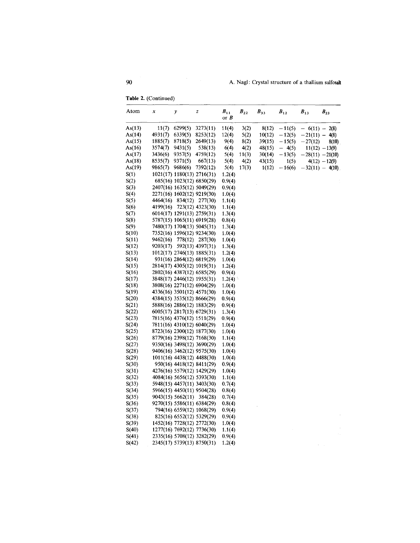**Table** 2. (Continued)

|        |          | $\mathcal{Y}$              | z                          | $B_{11}$<br>or $B$ | $B_{22}$ | $B_{33}$ | $B_{12}$ | $\boldsymbol{B}_{13}$ | $B_{23}$          |
|--------|----------|----------------------------|----------------------------|--------------------|----------|----------|----------|-----------------------|-------------------|
| As(13) | 11(7)    | 6299(5)                    | 3273(11)                   | 11(4)              | 3(2)     | 8(12)    | $-11(5)$ | $-6(11) - 2(8)$       |                   |
| As(14) | 4931(7)  | 6339(5)                    | 8253(12)                   | 12(4)              | 5(2)     | 10(12)   | $-12(5)$ | $-21(11) -$           | 4(8)              |
| As(15) | 1885(7)  | 8718(5)                    | 2649(13)                   | 9(4)               | 8(2)     | 39(15)   | $-15(5)$ | $-27(12)$             | 8(10)             |
| As(16) | 3574(7)  | 9431(5)                    | 538(13)                    | 6(4)               | 4(2)     | 48(15)   | $-4(5)$  |                       | $11(12) - 13(9)$  |
| As(17) | 3436(6)  | 9357(5)                    | 4759(12)                   | 5(4)               | 11(3)    | 30(14)   | $-13(5)$ | $-28(11) -21(10)$     |                   |
| As(18) | 8535(7)  | 9371(5)                    | 667(13)                    | 5(4)               | 4(2)     | 43(15)   | 1(5)     |                       | $4(12) - 12(9)$   |
| As(19) | 9865(7)  | 9686(6)                    | 7392(12)                   | 5(4)               | 17(3)    | 1(12)    | $-16(6)$ |                       | $-32(11) - 4(10)$ |
| S(1)   |          | 1021(17) 1180(13) 2716(31) |                            | 1.2(4)             |          |          |          |                       |                   |
| S(2)   |          |                            | 685(16) 1023(12) 6850(29)  | 0.9(4)             |          |          |          |                       |                   |
| S(3)   |          |                            | 2407(16) 1635(12) 5049(29) | 0.9(4)             |          |          |          |                       |                   |
| S(4)   |          | 2271(16) 1602(12) 9219(30) |                            | 1.0(4)             |          |          |          |                       |                   |
| S(5)   | 4464(16) |                            | 834(12) 277(30)            | 1.1(4)             |          |          |          |                       |                   |
| S(6)   | 4199(16) |                            | 723(12) 4323(30)           | 1.1(4)             |          |          |          |                       |                   |
| S(7)   |          | 6014(17) 1291(13) 2759(31) |                            | 1.3(4)             |          |          |          |                       |                   |
| S(8)   |          | 5787(15) 1065(11) 6919(28) |                            | 0.8(4)             |          |          |          |                       |                   |
| S(9)   |          | 7480(17) 1704(13) 5045(31) |                            | 1.3(4)             |          |          |          |                       |                   |
| S(10)  |          | 7352(16) 1596(12) 9234(30) |                            | 1.0(4)             |          |          |          |                       |                   |
| S(11)  | 9462(16) | 778(12)                    | 287(30)                    | 1.0(4)             |          |          |          |                       |                   |
| S(12)  | 9203(17) |                            | 592(13) 4397(31)           | 1.3(4)             |          |          |          |                       |                   |
| S(13)  |          | 1012(17) 2746(13) 1885(31) |                            | 1.2(4)             |          |          |          |                       |                   |
| S(14)  |          | 931(16) 2864(12) 6819(29)  |                            | 1.0(4)             |          |          |          |                       |                   |
| S(15)  |          | 2814(17) 4305(12) 1019(31) |                            | 1.2(4)             |          |          |          |                       |                   |
| S(16)  |          | 2802(16) 4387(12) 6585(29) |                            | 0.9(4)             |          |          |          |                       |                   |
| S(17)  |          | 3848(17) 2446(12) 1955(31) |                            | 1.2(4)             |          |          |          |                       |                   |
| S(18)  |          | 3808(16) 2271(12) 6904(29) |                            | 1.0(4)             |          |          |          |                       |                   |
| S(19)  |          | 4336(16) 3501(12) 4571(30) |                            | 1.0(4)             |          |          |          |                       |                   |
| S(20)  |          | 4384(15) 3535(12) 8666(29) |                            | 0.9(4)             |          |          |          |                       |                   |
| S(21)  |          | 5888(16) 2886(12) 1883(29) |                            | 0.9(4)             |          |          |          |                       |                   |
| S(22)  |          | 6005(17) 2817(13) 6729(31) |                            | 1.3(4)             |          |          |          |                       |                   |
| S(23)  |          | 7815(16) 4376(12) 1511(29) |                            | 0.9(4)             |          |          |          |                       |                   |
| S(24)  |          | 7811(16) 4310(12) 6040(29) |                            | 1.0(4)             |          |          |          |                       |                   |
| S(25)  |          | 8723(16) 2300(12) 1877(30) |                            | 1.0(4)             |          |          |          |                       |                   |
| S(26)  |          | 8779(16) 2398(12) 7168(30) |                            | 1.1(4)             |          |          |          |                       |                   |
| S(27)  |          |                            | 9350(16) 3498(12) 3690(29) | 1.0(4)             |          |          |          |                       |                   |
| S(28)  |          |                            | 9406(16) 3462(12) 9575(30) | 1.0(4)             |          |          |          |                       |                   |
| S(29)  |          |                            | 1011(16) 4438(12) 4488(30) | 1.0(4)             |          |          |          |                       |                   |
| S(30)  |          |                            | 950(16) 4418(12) 8411(29)  | 0.9(4)             |          |          |          |                       |                   |
| S(31)  |          |                            | 4276(16) 5579(12) 1429(29) | 1.0(4)             |          |          |          |                       |                   |
| S(32)  |          |                            | 4084(16) 5656(12) 5393(30) | 1.1(4)             |          |          |          |                       |                   |
| S(33)  |          |                            | 5948(15) 4457(11) 3403(30) | 0.7(4)             |          |          |          |                       |                   |
| S(34)  |          | 5966(15) 4450(11) 9504(28) |                            | 0.8(4)             |          |          |          |                       |                   |
| S(35)  |          | 9043(15) 5662(11)          | 384(28)                    | 0.7(4)             |          |          |          |                       |                   |
| S(36)  |          |                            | 9270(15) 5586(11) 6384(29) | 0.8(4)             |          |          |          |                       |                   |
| S(37)  |          | 794(16) 6559(12) 1068(29)  |                            | 0.9(4)             |          |          |          |                       |                   |
| S(38)  |          |                            | 825(16) 6552(12) 5329(29)  | 0.9(4)             |          |          |          |                       |                   |
| S(39)  |          |                            | 1452(16) 7728(12) 2772(30) | 1.0(4)             |          |          |          |                       |                   |
| S(40)  |          |                            | 1277(16) 7692(12) 7736(30) | 1.1(4)             |          |          |          |                       |                   |
| S(41)  |          |                            | 2335(16) 5708(12) 3282(29) | 0.9(4)             |          |          |          |                       |                   |
| S(42)  |          | 2345(17) 5739(13) 8750(31) |                            | 1.2(4)             |          |          |          |                       |                   |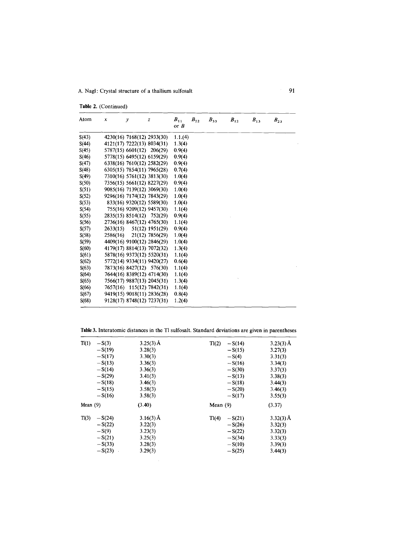|  | Table 2. (Continued) |
|--|----------------------|
|  |                      |

| Atom  | x        | $\mathcal{V}$              | z                          | $B_{11}$<br>or $B$ | $B_{\rm 22}$ | $B_{33}$ | $\boldsymbol{B}_{12}$ | $B_{13}$ | $B_{23}$ |
|-------|----------|----------------------------|----------------------------|--------------------|--------------|----------|-----------------------|----------|----------|
| S(43) |          |                            | 4230(16) 7168(12) 2933(30) | 1.1(4)             |              |          |                       |          |          |
| S(44) |          | 4121(17) 7222(13) 8034(31) |                            | 1.3(4)             |              |          |                       |          |          |
| S(45) |          | 5787(15) 6601(12) 206(29)  |                            | 0.9(4)             |              |          |                       |          |          |
| S(46) |          | 5778(15) 6495(12) 6159(29) |                            | 0.9(4)             |              |          |                       |          |          |
| S(47) |          |                            | 6338(16) 7610(12) 2582(29) | 0.9(4)             |              |          |                       |          |          |
| S(48) |          |                            | 6305(15) 7854(11) 7965(28) | 0.7(4)             |              |          |                       |          |          |
| S(49) |          | 7310(16) 5761(12) 3813(30) |                            | 1.0(4)             |              |          |                       |          |          |
| S(50) |          |                            | 7356(15) 5661(12) 8227(29) | 0.9(4)             |              |          |                       |          |          |
| S(51) |          |                            | 9085(16) 7139(12) 3069(30) | 1.0(4)             |              |          |                       |          |          |
| S(52) |          | 9296(16) 7174(12) 7843(29) |                            | 1.0(4)             |              |          |                       |          |          |
| S(53) |          |                            | 833(16) 9320(12) 5589(30)  | 1.0(4)             |              |          |                       |          |          |
| S(54) |          |                            | 755(16) 9209(12) 9457(30)  | 1.1(4)             |              |          |                       |          |          |
| S(55) |          |                            | 2835(15) 8514(12) 752(29)  | 0.9(4)             |              |          |                       |          |          |
| S(56) |          |                            | 2736(16) 8467(12) 4765(30) | 1.1(4)             |              |          |                       |          |          |
| S(57) | 2633(15) |                            | 51(12) 1951(29)            | 0.9(4)             |              |          |                       |          |          |
| S(58) | 2586(16) |                            | 21(12) 7856(29)            | 1.0(4)             |              |          |                       |          |          |
| S(59) |          |                            | 4409(16) 9100(12) 2846(29) | 1.0(4)             |              |          |                       |          |          |
| S(60) |          | 4179(17) 8814(13) 7072(32) |                            | 1.3(4)             |              |          |                       |          |          |
| S(61) |          |                            | 5878(16) 9373(12) 5520(31) | 1.1(4)             |              |          |                       |          |          |
| S(62) |          |                            | 5772(14) 9334(11) 9420(27) | 0.6(4)             |              |          |                       |          |          |
| S(63) |          |                            | 7873(16) 8427(12) 576(30)  | 1.1(4)             |              |          |                       |          |          |
| S(64) |          | 7644(16) 8389(12) 4714(30) |                            | 1.1(4)             |              |          |                       |          |          |
| S(65) |          |                            | 7566(17) 9887(13) 2045(31) | 1.3(4)             |              |          |                       |          |          |
| S(66) |          |                            | 7657(16) 115(12) 7842(31)  | 1.1(4)             |              |          |                       |          |          |
| S(67) |          |                            | 9419(15) 9018(11) 2836(28) | 0.8(4)             |              |          |                       |          |          |
| S(68) |          |                            | 9128(17) 8748(12) 7237(31) | 1.2(4)             |              |          |                       |          |          |

Table3. Interatomic distances in the Tl sulfosalt. Standard deviations are given in parentheses

| Tl(1)      | $-S(3)$<br>$-S(19)$<br>$-S(17)$<br>$-S(13)$<br>$-S(14)$<br>$-S(29)$ | $3.25(3)$ Å<br>3.28(3)<br>3.30(3)<br>3.36(3)<br>3.36(3)<br>3.41(3) | Tl(2)<br>$-S(14)$<br>$-S(15)$<br>$-S(4)$<br>$-S(16)$<br>$-S(30)$<br>$-S(13)$  | $3.23(3)$ Å<br>3.27(3)<br>3.31(3)<br>3.34(3)<br>3.37(3)<br>3.38(3) |
|------------|---------------------------------------------------------------------|--------------------------------------------------------------------|-------------------------------------------------------------------------------|--------------------------------------------------------------------|
|            | $-S(18)$<br>$-S(15)$<br>$-S(16)$                                    | 3.46(3)<br>3.58(3)<br>3.58(3)                                      | $-S(18)$<br>$-S(20)$<br>$-S(17)$                                              | 3.44(3)<br>3.46(3)<br>3.55(3)                                      |
| Mean $(9)$ |                                                                     | (3.40)                                                             | Mean $(9)$                                                                    | (3.37)                                                             |
| Tl(3)      | $-S(24)$<br>$-S(22)$<br>$-S(9)$<br>$-S(21)$<br>$-S(33)$<br>$-S(23)$ | $3.16(3)$ Å<br>3.22(3)<br>3.23(3)<br>3.25(3)<br>3.28(3)<br>3.29(3) | Tl(4)<br>$-S(21)$<br>$-S(26)$<br>$-S(22)$<br>$-S(34)$<br>$-S(10)$<br>$-S(25)$ | $3.32(3)$ Å<br>3.32(3)<br>3.32(3)<br>3.33(3)<br>3.39(3)<br>3.44(3) |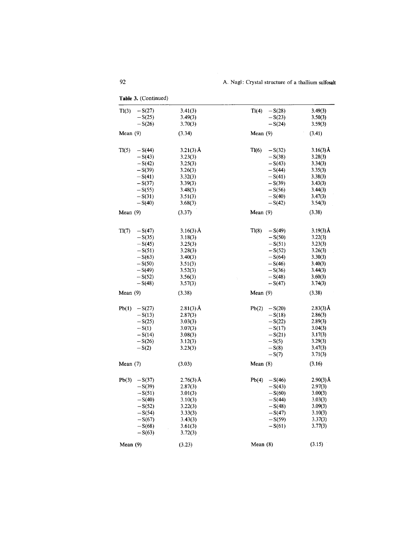| Tl(3)<br>$-S(27)$ | 3.41(3)     | T1(4)<br>$-S(28)$ | 3.49(3)     |
|-------------------|-------------|-------------------|-------------|
| $-S(25)$          | 3.49(3)     | $-S(23)$          | 3.50(3)     |
| $-S(26)$          | 3.70(3)     | $-S(24)$          | 3.59(3)     |
| Mean $(9)$        | (3.34)      | Mean $(9)$        | (3.41)      |
|                   |             |                   |             |
| T1(5)<br>$-S(44)$ | $3.21(3)$ Å | T1(6)<br>$-S(32)$ | $3.16(3)$ Å |
| $-S(43)$          | 3.23(3)     | $-S(38)$          | 3.28(3)     |
| $-S(42)$          | 3.25(3)     | $-S(43)$          | 3.34(3)     |
| $-S(39)$          | 3.26(3)     | $-S(44)$          | 3.35(3)     |
| $-S(41)$          | 3.32(3)     | $-S(41)$          | 3.38(3)     |
| $-S(37)$          | 3.39(3)     | $-S(39)$          | 3.43(3)     |
| $-S(55)$          | 3.48(3)     | $-S(56)$          | 3.44(3)     |
| $-S(31)$          | 3.51(3)     | $-S(40)$          | 3.47(3)     |
| $-S(40)$          | 3.68(3)     | $-S(42)$          | 3.54(3)     |
| Mean $(9)$        | (3.37)      | Mean $(9)$        | (3.38)      |
| Tl(7)<br>$-S(47)$ | $3.16(3)$ Å | Tl(8)<br>$-S(49)$ | $3.19(3)$ Å |
| $-S(35)$          | 3.18(3)     | $-S(50)$          | 3.22(3)     |
| $-S(45)$          | 3.25(3)     | $-S(51)$          | 3.23(3)     |
| $-S(51)$          | 3.28(3)     | $-S(52)$          | 3.26(3)     |
| $-S(63)$          | 3.40(3)     | $-S(64)$          | 3.30(3)     |
| $-S(50)$          | 3.51(3)     | $-S(46)$          | 3.40(3)     |
| $-S(49)$          | 3.52(3)     | $-S(36)$          | 3.44(3)     |
| $-S(52)$          | 3.56(3)     | $-S(48)$          | 3.60(3)     |
| $-S(48)$          | 3.57(3)     | $-S(47)$          | 3.74(3)     |
| Mean $(9)$        | (3.38)      | Mean $(9)$        | (3.38)      |
| Pb(1)<br>$-S(27)$ | $2.81(3)$ Å | Pb(2)<br>$-S(20)$ | $2.83(3)$ Å |
| $-S(13)$          | 2.87(3)     | $-S(18)$          | 2.86(3)     |
| $-S(25)$          | 3.03(3)     | $-S(22)$          | 2.89(3)     |
| $-S(1)$           | 3.07(3)     | $-S(17)$          | 3.04(3)     |
| $-S(14)$          | 3.08(3)     | $-S(21)$          | 3.17(3)     |
| $-S(26)$          | 3.12(3)     | $-S(5)$           | 3.29(3)     |
| $-S(2)$           | 3.23(3)     | $-S(8)$           | 3.47(3)     |
|                   |             | $-S(7)$           | 3.71(3)     |
| Mean $(7)$        | (3.03)      | Mean $(8)$        | (3.16)      |
| Pb(3)<br>$-S(37)$ | $2.76(3)$ Å | Pb(4)<br>$-S(46)$ | 2.90(3) Å   |
| $-S(39)$          | 2.87(3)     | $-S(43)$          | 2.97(3)     |
| $-S(51)$          | 3.01(3)     | $-S(60)$          | 3.00(3)     |
| $-S(40)$          | 3.10(3)     | $-S(44)$          | 3.03(3)     |
| $-S(52)$          | 3.22(3)     | $-S(48)$          | 3.09(3)     |
| $-S(54)$          | 3.33(3)     | $-S(47)$          | 3.10(3)     |
| $-S(67)$          | 3.43(3)     | $-S(59)$          | 3.37(3)     |
| $-S(68)$          | 3.61(3)     | $-S(61)$          | 3.77(3)     |
| $-S(63)$          | 3.72(3)     |                   |             |
|                   |             | Mean $(8)$        | (3.15)      |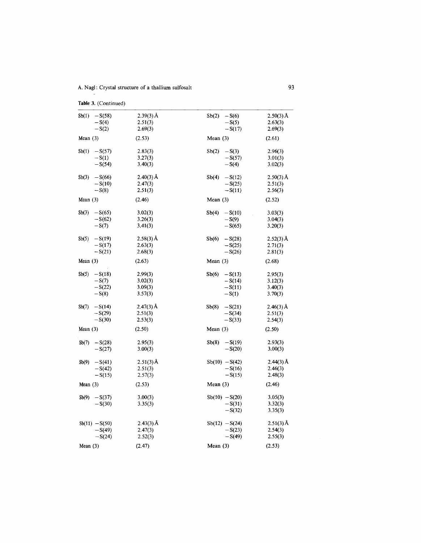**Table**3. (Continued)

| $Sb(1) - S(58)$               | $2.39(3)$ Å | Sb(2)<br>$-S(6)$  | $2.50(3)$ Å |
|-------------------------------|-------------|-------------------|-------------|
| $-S(4)$                       | 2.51(3)     | $-S(5)$           | 2.63(3)     |
| $-S(2)$                       | 2.69(3)     | $-S(17)$          | 2.69(3)     |
| Mean $(3)$                    | (2.53)      | Mean $(3)$        | (2.61)      |
| $Sb(1) - S(57)$               | 2.83(3)     | $Sb(2) - S(3)$    | 2.96(3)     |
| $-S(1)$                       | 3.27(3)     | $-S(57)$          | 3.01(3)     |
| $-S(54)$                      | 3.40(3)     | $-S(4)$           | 3.02(3)     |
| $-S(66)$<br>Sb(3)             | $2.40(3)$ Å | Sb(4)<br>$-S(12)$ | $2.50(3)$ Å |
| $-S(10)$                      | 2.47(3)     | $-S(25)$          | 2.51(3)     |
| $-S(8)$                       | 2.51(3)     | $-S(11)$          | 2.56(3)     |
| Mean $(3)$                    | (2.46)      | Mean $(3)$        | (2.52)      |
| $-S(65)$<br>Sb(3)             | 3.02(3)     | Sb(4)<br>$-S(10)$ | 3.03(3)     |
| $-S(62)$                      | 3.26(3)     | $-S(9)$           | 3.04(3)     |
| $-S(7)$                       | 3.41(3)     | $-S(65)$          | 3.20(3)     |
| $-S(19)$<br>Sb(5)             | $2.58(3)$ Å | Sb(6)<br>$-S(28)$ | $2.52(3)$ Å |
| $-S(17)$                      | 2.63(3)     | $-S(25)$          | 2.71(3)     |
| $-S(21)$                      | 2.68(3)     | $-S(26)$          | 2.81(3)     |
| Mean $(3)$                    | (2.63)      | Mean $(3)$        | (2.68)      |
|                               |             |                   |             |
| $-S(18)$<br>Sb(5)             | 2.99(3)     | Sb(6)<br>$-S(13)$ | 2.95(3)     |
| $-S(7)$                       | 3.02(3)     | $-S(14)$          | 3.12(3)     |
| $-S(22)$                      | 3.09(3)     | $-S(11)$          | 3.40(3)     |
| $-S(8)$                       | 3.57(3)     | $-S(1)$           | 3.70(3)     |
| Sb(7)<br>$-S(14)$             | $2.47(3)$ Å | Sb(8)<br>$-S(21)$ | $2.46(3)$ Å |
| $-S(29)$                      | 2.51(3)     | $-S(34)$          | 2.51(3)     |
| $-S(30)$                      | 2.53(3)     | $-S(33)$          | 2.54(3)     |
| Mean $(3)$                    | (2.50)      | Mean $(3)$        | (2.50)      |
| $-S(28)$<br>Sb(7)             | 2.95(3)     | $-S(19)$<br>Sb(8) | 2.93(3)     |
| $-S(27)$                      | 3.00(3)     | $-S(20)$          | 3.00(3)     |
|                               | $2.51(3)$ Å | $Sb(10) - S(42)$  | $2.44(3)$ Å |
| Sb(9)<br>$-S(41)$<br>$-S(42)$ | 2.51(3)     | $-S(16)$          | 2.46(3)     |
| $-S(15)$                      | 2.57(3)     | $-S(15)$          | 2.48(3)     |
| Mean $(3)$                    | (2.53)      | Mean $(3)$        | (2, 46)     |
| Sb(9)<br>$-S(37)$             | 3.00(3)     | $Sb(10) - S(20)$  | 3.05(3)     |
| $-S(30)$                      | 3.35(3)     | $-S(31)$          | 3.32(3)     |
|                               |             | $-S(32)$          | 3.35(3)     |
| $Sb(11) - S(50)$              | $2.43(3)$ Å | $Sb(12) - S(24)$  | $2.51(3)$ Å |
| $-S(49)$                      | 2.47(3)     | $-S(23)$          | 2.54(3)     |
| $-S(24)$                      |             | $-S(49)$          | 2.55(3)     |
|                               | 2.52(3)     |                   |             |
| Mean $(3)$                    | (2.47)      | Mean $(3)$        | (2.53)      |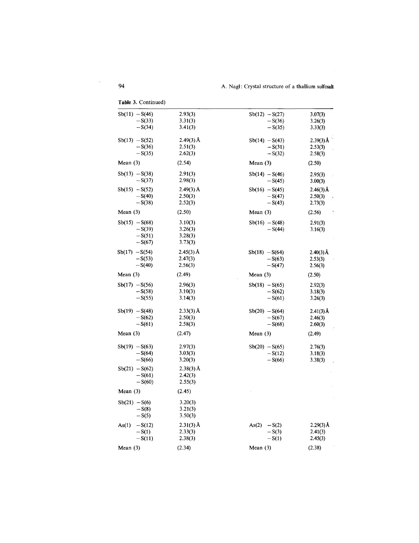| <b>rable 5.</b> Continued) |             |                  |             |
|----------------------------|-------------|------------------|-------------|
| $Sb(11) - S(46)$           | 2.93(3)     | $Sb(12) - S(27)$ | 3.07(3)     |
| $-S(33)$                   | 3.31(3)     | $-S(36)$         | 3.26(3)     |
| $-S(34)$                   | 3.41(3)     | $-S(35)$         | 3.33(3)     |
|                            |             |                  |             |
| $Sb(13) - S(52)$           | $2.49(3)$ Å | $Sb(14) - S(43)$ | $2.39(3)$ Å |
| $-S(36)$                   | 2.51(3)     | $-S(31)$         | 2.53(3)     |
| $-S(35)$                   | 2.62(3)     | $-S(32)$         | 2.58(3)     |
| Mean $(3)$                 | (2.54)      | Mean $(3)$       | (2.50)      |
| $Sb(13) - S(38)$           | 2.91(3)     | $Sb(14) - S(46)$ |             |
| $-S(37)$                   | 2.98(3)     | $-S(45)$         | 2.95(3)     |
|                            |             |                  | 3.00(3)     |
| $Sb(15) - S(52)$           | $2.49(3)$ Å | $Sb(16) - S(45)$ | $2.46(3)$ Å |
| $-S(40)$                   | 2.50(3)     | $-S(47)$         | 2.50(3)     |
| $-S(38)$                   | 2.52(3)     | $-S(43)$         | 2.73(3)     |
| Mean $(3)$                 | (2.50)      | Mean $(3)$       | (2.56)      |
| $Sb(15) - S(68)$           | 3.10(3)     | $Sb(16) - S(48)$ | 2.91(3)     |
| $-S(39)$                   | 3.26(3)     | $-S(44)$         | 3.16(3)     |
| $-S(51)$                   | 3.28(3)     |                  |             |
| $-S(67)$                   | 3.73(3)     |                  |             |
|                            |             |                  |             |
| $Sb(17) - S(54)$           | $2.45(3)$ Å | $Sb(18) - S(64)$ | $2.40(3)$ Å |
| $-S(53)$                   | 2.47(3)     | $-S(63)$         | 2.53(3)     |
| $-S(40)$                   | 2.56(3)     | $-S(47)$         | 2.56(3)     |
| Mean $(3)$                 | (2.49)      | Mean $(3)$       | (2.50)      |
| $Sb(17) - S(56)$           | 2.96(3)     | $Sb(18) - S(65)$ | 2.92(3)     |
| $-S(58)$                   | 3.10(3)     | $-S(62)$         | 3.18(3)     |
| $-S(55)$                   | 3.14(3)     | $-S(61)$         | 3.26(3)     |
|                            | $2.33(3)$ Å |                  |             |
| $Sb(19) - S(48)$           | 2.50(3)     | $Sb(20) - S(64)$ | $2.41(3)$ Å |
| $-S(62)$                   |             | $-S(67)$         | 2.46(3)     |
| $-S(61)$                   | 2.58(3)     | $-S(68)$         | 2.60(3)     |
| Mean $(3)$                 | (2.47)      | Mean $(3)$       | (2.49)      |
| $Sb(19) - S(63)$           | 2.97(3)     | $Sb(20) - S(65)$ | 2.76(3)     |
| $-S(64)$                   | 3.03(3)     | $-S(12)$         | 3.18(3)     |
| $-S(66)$                   | 3.20(3)     | $-S(66)$         | 3.38(3)     |
|                            |             |                  |             |
| $Sb(21) - S(62)$           | $2.38(3)$ Å |                  |             |
| $-S(61)$                   | 2.42(3)     |                  |             |
| $-S(60)$                   | 2.55(3)     |                  |             |
| Mean $(3)$                 | (2.45)      |                  |             |
| $Sb(21) - S(6)$            | 3.20(3)     |                  |             |
| $-S(8)$                    | 3.21(3)     |                  |             |
| $-S(5)$                    | 3.50(3)     |                  |             |
| $-S(12)$<br>As(1)          | $2.31(3)$ Å | As(2)<br>$-S(2)$ | $2.29(3)$ Å |
|                            | 2.33(3)     |                  | 2.41(3)     |
| $-S(1)$                    |             | $-S(3)$          |             |
| $-S(11)$                   | 2.38(3)     | $-S(1)$          | 2.45(3)     |
| Mean $(3)$                 | (2.34)      | Mean $(3)$       | (2.38)      |
|                            |             |                  |             |

**Table** 3. Continued)

 $\mathcal{A}^{\text{max}}_{\text{max}}$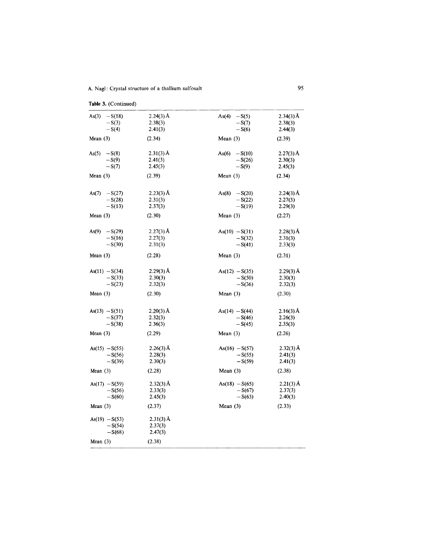| Table 3. (Continued) |             |                  |             |
|----------------------|-------------|------------------|-------------|
| As(3) $-S(18)$       | $2.24(3)$ Å | $As(4) - S(5)$   | $2.34(3)$ Å |
| $-S(3)$              | 2.38(3)     | $-S(7)$          | 2.38(3)     |
| $-S(4)$              | 2.41(3)     | $-S(6)$          | 2.44(3)     |
| Mean $(3)$           | (2.34)      | Mean $(3)$       | (2.39)      |
| $As(5) - S(8)$       | $2.31(3)$ Å | As(6) $-S(10)$   | $2.27(3)$ Å |
| $-S(9)$              | 2.41(3)     | $-S(26)$         | 2.30(3)     |
| $-S(7)$              | 2.45(3)     | $-S(9)$          | 2.45(3)     |
| Mean $(3)$           | (2.39)      | Mean $(3)$       | (2.34)      |
| As(7) $-S(27)$       | $2.23(3)$ Å | $As(8) - S(20)$  | $2.24(3)$ Å |
| $-S(28)$             | 2.31(3)     | $-S(22)$         | 2.27(3)     |
| $-S(13)$             | 2.37(3)     | $-S(19)$         | 2.29(3)     |
| Mean $(3)$           | (2.30)      | Mean $(3)$       | (2.27)      |
| As(9) $-S(29)$       | $2.27(3)$ Å | $As(10) - S(31)$ | $2.28(3)$ Å |
| $-S(16)$             | 2.27(3)     | $-S(32)$         | 2.31(3)     |
| $-S(30)$             | 2.31(3)     | $-S(41)$         | 2.33(3)     |
| Mean $(3)$           | (2.28)      | Mean $(3)$       | (2.31)      |
| As $(11) - S(34)$    | $2.29(3)$ Å | $As(12) - S(35)$ | $2.29(3)$ Å |
| $-S(33)$             | 2.30(3)     | $-S(50)$         | 2.30(3)     |
| $-S(23)$             | 2.32(3)     | $-S(36)$         | 2.32(3)     |
| Mean $(3)$           | (2.30)      | Mean $(3)$       | (2.30)      |
| $As(13) - S(51)$     | $2.20(3)$ Å | $As(14) - S(44)$ | $2.16(3)$ Å |
| $-S(37)$             | 2.32(3)     | $-S(46)$         | 2.26(3)     |
| $-S(38)$             | 2.36(3)     | $-S(45)$         | 2.35(3)     |
| Mean $(3)$           | (2.29)      | Mean $(3)$       | (2.26)      |
| $As(15) - S(55)$     | $2.26(3)$ Å | $As(16) - S(57)$ | $2.32(3)$ Å |
| $-S(56)$             | 2.28(3)     | $-S(55)$         | 2.41(3)     |
| $-S(39)$             | 2.30(3)     | $-S(59)$         | 2.41(3)     |
| Mean $(3)$           | (2.28)      | Mean $(3)$       | (2.38)      |
| $As(17) - S(59)$     | $2.32(3)$ Å | $As(18) - S(65)$ | $2.21(3)$ Å |
| $-S(56)$             | 2.33(3)     | $-S(67)$         | 2.37(3)     |
| $-S(60)$             | 2.45(3)     | $-S(63)$         | 2.40(3)     |
| Mean $(3)$           | (2.37)      | Mean $(3)$       | (2.33)      |
| $As(19) - S(53)$     | $2.31(3)$ Å |                  |             |
| $-S(54)$             | 2.37(3)     |                  |             |
| $-S(68)$             | 2.47(3)     |                  |             |
| Mean $(3)$           | (2.38)      |                  |             |
|                      |             |                  |             |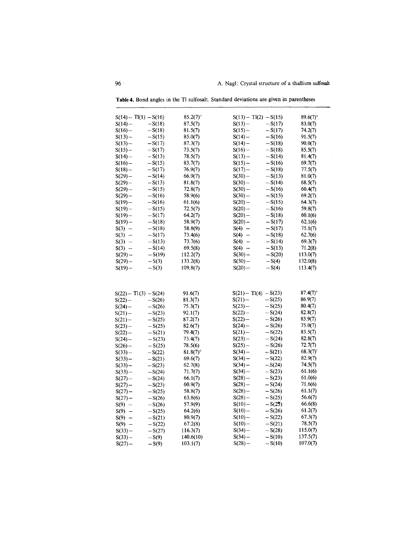| $S(14) - T1(1) - S(16)$ |                      | $85.2(7)^\circ$ | $S(13) - T1(2) - S(15)$ |          | $89.6(7)$ °     |
|-------------------------|----------------------|-----------------|-------------------------|----------|-----------------|
| $S(14) -$               | $-S(18)$             | 87.5(7)         | $S(13)$ –               | $-S(17)$ | 83.0(7)         |
| $S(16) -$               | $-S(18)$             | 81.5(7)         | $S(15) -$               | $-S(17)$ | 74.2(7)         |
| $S(13) -$               | $-S(15)$             | 85.0(7)         | $S(14) -$               | $-S(16)$ | 91.5(7)         |
| $S(13) -$               | $-S(17)$             | 87.3(7)         | $S(14) -$               | $-S(18)$ | 90.0(7)         |
| $S(15) -$               | $-S(17)$             | 73.5(7)         | $S(16)$ –               | $-S(18)$ | 85.5(7)         |
| $S(14) -$               | $-S(13)$             | 78.5(7)         | $S(13) -$               | $-S(14)$ | 81.4(7)         |
| $S(16) -$               | $-S(15)$             | 83.7(7)         | $S(15) -$               | $-S(16)$ | 69.7(7)         |
| $S(18) -$               | $-S(17)$             | 76.9(7)         | $S(17) -$               | $-S(18)$ | 77.5(7)         |
| $S(29) -$               | $-S(14)$             | 66.9(7)         | $S(30)$ –               | $-S(13)$ | 81.0(7)         |
| $S(29) -$               | $-S(13)$             | 81.8(7)         | $S(30)$ –               | $-S(14)$ | 68.5(7)         |
| $S(29) -$               | $-S(15)$             | 72.8(7)         | $S(30)$ –               | $-S(16)$ | 60.4(7)         |
| $S(29) -$               | $-S(16)$             | 58.9(6)         | $S(30) -$               | $-S(15)$ | 69.2(7)         |
| $S(19) -$               | $-S(16)$             | 61.1(6)         | $S(20) -$               | $-S(15)$ | 64.3(7)         |
| $S(19) -$               | $-S(15)$             | 72.5(7)         | $S(20) -$               | $-S(16)$ | 59.8(7)         |
| $S(19) -$               | $-S(17)$             | 64.2(7)         | $S(20)$ –               | $-S(18)$ | 60.1(6)         |
| $S(19) -$               | $-S(18)$             | 58.9(7)         | $S(20) -$               | $-S(17)$ | 62.1(6)         |
| $S(3) -$                | $-S(18)$             | 58.8(9)         | $S(4) -$                | $-S(17)$ | 75.1(7)         |
| $S(3) -$                | $-S(17)$             | 73.4(6)         | $S(4) -$                | $-S(18)$ | 62.7(6)         |
| $S(3) -$                | $-S(13)$             | 73.7(6)         | $S(4) -$                | $-S(14)$ | 69.3(7)         |
| $S(3) -$                | $-S(14)$             | 69.5(8)         | $S(4) -$                | $-S(13)$ | 71.2(8)         |
| $S(29)$ –               | $-S(19)$             | 112.2(7)        | $S(30) -$               | $-S(20)$ | 113.0(7)        |
| $S(29)$ –               | $-S(3)$              | 133.2(8)        | $S(30) -$               | $-S(4)$  | 132.0(8)        |
| $S(19) -$               | $-S(3)$              | 109.8(7)        | $S(20)$ –               | $-S(4)$  | 113.4(7)        |
|                         |                      |                 |                         |          |                 |
| $S(22) - T1(3) - S(24)$ |                      | 91.6(7)         | $S(21) - T(4) - S(23)$  |          | $87.4(7)^\circ$ |
| $S(22)$ –               | $-S(26)$             | 81.3(7)         | $S(21) -$               | $-S(25)$ | 86.9(7)         |
| $S(24) -$               | $-S(26)$             | 75.3(7)         | $S(23)$ –               | $-S(25)$ | 80.4(7)         |
| $S(21) -$               | $-S(23)$             | 92.1(7)         | $S(22)$ –               | $-S(24)$ | 82.8(7)         |
| $S(21) -$               | $-S(25)$             | 87.2(7)         | $S(22)$ –               | $-S(26)$ | 85.9(7)         |
| $S(23)$ –               | $-S(25)$             | 82.6(7)         | $S(24) -$               | $-S(26)$ | 75.0(7)         |
| $S(22)$ –               | $-S(21)$             | 79.4(7)         | $S(21)$ –               | $-S(22)$ | 83.5(7)         |
| $S(24) -$               | $-S(23)$             | 73.4(7)         | $S(23)$ –               | $-S(24)$ | 82.8(7)         |
| $S(26)$ –               | $-S(25)$             | 78.5(6)         | $S(25)$ –               | $-S(26)$ | 72.7(7)         |
| $S(33)$ —               | $-S(22)$             | $81.8(7)$ °     | $S(34)$ –               | $-S(21)$ | $68.3(7)^c$     |
| $S(33)$ –               | $-S(21)$             | 69.6(7)         | $S(34) -$               | $-S(22)$ | 82.9(7)         |
| $S(33) -$               | $-S(23)$             | 62.7(8)         | $S(34) -$               | $-S(24)$ | 74.5(7)         |
| $S(33)$ –               | $-S(24)$             | 71.7(7)         | $S(34) -$               | $-S(23)$ | 61.1(6)         |
| $S(27) -$               | $-S(24)$             | 66.1(7)         | $S(28) -$               | $-S(23)$ | 61.0(6)         |
| $S(27) -$               | $-S(23)$             | 60.9(7)         | $S(28) -$               | $-S(24)$ | 71.6(6)         |
| $S(27) -$               | $-S(25)$             | 58.8(7)         | $S(28) -$               | $-S(26)$ | 61.1(7)         |
| $S(27) -$               | $-S(26)$             | 63.8(6)         | $S(28) -$               | $-S(25)$ | 56.6(7)         |
| $S(9) -$                |                      |                 | $S(10) -$               | $-S(25)$ | 66.6(8)         |
|                         | $-S(26)$             | 57.9(9)         |                         |          |                 |
| $S(9) -$                | $-S(25)$             | 64.2(6)         | $S(10) -$               | $-S(26)$ | 61.2(7)         |
| $S(9) -$                |                      | 80.9(7)         | $S(10) -$               | $-S(22)$ | 67.3(7)         |
| $S(9) -$                | $-S(21)$<br>$-S(22)$ | 67.2(8)         | $S(10) -$               | $-S(21)$ | 78.5(7)         |
| $S(33)$ –               | $-S(27)$             | 116.3(7)        | $S(34) -$               | $-S(28)$ | 115.0(7)        |
| $S(33)$ —               | $-S(9)$              | 140.6(10)       | $S(34)$ –               | $-S(10)$ | 137.5(7)        |
| $S(27) -$               | $-S(9)$              | 103.1(7)        | $S(28)$ –               | $-S(10)$ | 107.0(7)        |

**Table 4.** Bond angles in the TI sulfosaIt. Standard deviations are given in parentheses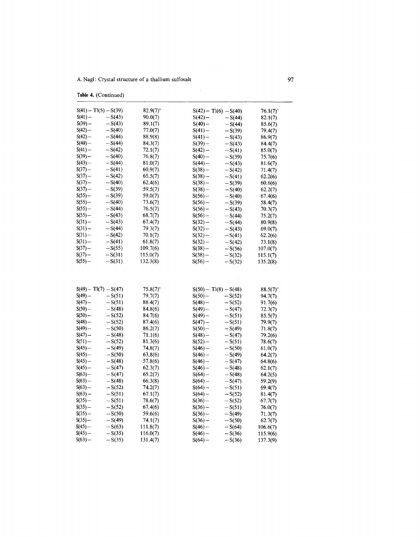|                        | Table 4. (Continued)    |                    |                         |                      |                     |
|------------------------|-------------------------|--------------------|-------------------------|----------------------|---------------------|
|                        | $S(41) - T1(5) - S(39)$ | $82.9(7)^\circ$    | $S(42) - T1(6) - S(40)$ |                      | $76.1(7)$ °         |
| $S(41) -$              | $-S(43)$                | 90.0(7)            | $S(42) -$               | $-S(44)$             | 82.1(7)             |
| $S(39) -$              | $-S(43)$                | 89.1(7)            | $S(40) -$               | $-S(44)$             | 85.6(7)             |
| $S(42) -$              | $-S(40)$                | 77.0(7)            | $S(41) -$               | $-S(39)$             | 79.4(7)             |
| $S(42)$ –              | $-S(44)$                | 88.9(8)            | $S(41) -$               | $-S(43)$             | 86.9(7)             |
| $S(40)$ –              | $-S(44)$                | 84.3(7)            | $S(39) -$               | $-S(43)$             | 84.4(7)             |
| $S(41)$ –              | $-S(42)$                | 72.1(7)            | $S(42) -$               | $-S(41)$             | 85.0(7)             |
| $S(39) -$              | $-S(40)$                | 76.8(7)            | $S(40)$ —               | $-S(39)$             | 75.7(6)             |
| $S(43)$ –              | $-S(44)$                | 81.0(7)            | $S(44) -$               | $-S(43)$             | 81.6(7)             |
| $S(37) -$              | $-S(41)$                | 60.9(7)            | $S(38) -$               | $-S(42)$             | 71.4(7)             |
| $S(37) -$              | $-S(42)$                | 65.5(7)            | $S(38) -$               | $-S(41)$             | 62.2(6)             |
| $S(37) -$              | $-S(40)$                | 62.4(6)            | $S(38)$ –               | $-S(39)$             | 60.6(6)             |
| $S(37) -$              | $-S(39)$                | 59.5(7)            | $S(38) -$               | $-S(40)$             | 62.2(7)             |
| $S(55)$ —              | $-S(39)$                | 59.0(7)            | $S(56)$ –               | $-S(40)$             | 67.4(6)             |
| $S(55)$ –              | $-S(40)$                | 73.6(7)            | $S(56) -$               | $-S(39)$             | 58.4(7)             |
| $S(55)$ –              | $-S(44)$                | 76.5(7)            | $S(56)$ –               | $-S(43)$             | 70.3(7)             |
| $S(55)$ —              | $-S(43)$                | 68.7(7)            | $S(56)$ –               | $-S(44)$             | 75.2(7)             |
| $S(31)$ —              | $-S(43)$                | 67.4(7)            | $S(32) -$               | $-S(44)$             | 80.9(8)             |
| $S(31) -$              | $-S(44)$                | 79.3(7)            | $S(32) -$               | $-S(43)$             | 69.0(7)             |
| $S(31)$ –              | $-S(42)$                | 70.1(7)            | $S(32) -$               | $-S(41)$             | 62.2(6)             |
| $S(31) -$              | $-S(41)$                | 61.8(7)            | $S(32)$ –               | $-S(42)$             | 73.1(8)             |
| $S(37) -$              | $-S(55)$                | 109.7(6)           | $S(38)$ –               | $-S(56)$             | 107.0(7)            |
| $S(37)$ —              | $-S(31)$                | 115.0(7)           | $S(38) -$               | $-S(32)$             | 115.1(7)            |
| $S(55)$ –              | $-S(31)$                | 132.3(8)           | $S(56)$ –               | $-S(32)$             | 135.2(8)            |
|                        |                         |                    |                         |                      |                     |
|                        | $S(49) - T1(7) - S(47)$ | $75.8(7)$ °        | $S(50) - T1(8) - S(48)$ |                      | $88.5(7)$ °         |
| S(49) —                | $-S(51)$                | 79.7(7)            | $S(50) -$               | $-S(52)$             | 94.7(7)             |
| $S(47) -$              | $-S(51)$                | 88.4(7)            | $S(48) -$               | $-S(52)$             | 91.7(6)             |
| $S(50)$ —              | $-S(48)$                | 84.8(6)            | $S(49) -$               | $-S(47)$             | 72.3(7)             |
| $S(50)$ —              | $-S(52)$                | 84.7(6)            | $S(49) -$               | $-S(51)$             | 85.5(7)             |
| $S(48) -$              | $-S(52)$                | 87.4(6)            | $S(47) -$               | $-S(51)$             | 79.9(7)             |
| S(49) —                | $-S(50)$                | 86.2(7)            | $S(50) -$               | $-S(49)$             | 71.8(7)             |
| $S(47) -$              | $-S(48)$                | 71.1(6)            | $S(48) -$               | $-S(47)$             | 79.2(6)             |
| $S(51)$ —              | $-S(52)$                | 81.3(6)            | $S(52) -$               | $-S(51)$             | 78.6(7)             |
| $S(45)$ —              | $-S(49)$                | 74.8(7)            | $S(46) -$               | $-S(50)$             | 61.0(7)             |
| $S(45)$ —              | $-S(50)$                | 63.8(6)            | $S(46) -$               | $-S(49)$             | 64.2(7)             |
| $S(45) -$              | $-S(48)$                | 57.8(6)            | $S(46) -$               | $-S(47)$             | 64.8(6)             |
| $S(45)$ –<br>$S(63)$ — | $-S(47)$                | 62.3(7)            | $S(46)$ –               | $-S(48)$             | 62.1(7)             |
|                        | $-S(47)$<br>$-S(48)$    | 65.2(7)            | $S(64) -$               | $-S(48)$             | 64.2(5)             |
| $S(63) -$<br>$S(63) -$ | $-S(52)$                | 66.3(8)            | $S(64) -$               | $-S(47)$             | 59.2(9)             |
| $S(63) -$              |                         | 74.2(7)            | $S(64) -$               | $-S(51)$             | 69.4(7)             |
| $S(35)$ –              | $-S(51)$<br>$-S(51)$    | 67.1(7)<br>78.6(7) | $S(64)$ –<br>$S(36)$ –  | $-S(52)$<br>$-S(52)$ | 81.4(7)<br>67.7(7)  |
| $S(35)$ —              | $-S(52)$                | 67.4(6)            | $S(36)$ –               | $-S(51)$             |                     |
| $S(35)$ –              |                         |                    |                         |                      | 76.0(7)             |
| $S(35) -$              | $-S(50)$<br>$-S(49)$    | 59.6(6)<br>74.1(7) | $S(36)$ –               | $-S(49)$<br>$-S(50)$ | 71.3(7)             |
| $S(45)$ –              | $-S(63)$                | 111.8(7)           | $S(36)$ –<br>$S(46)$ –  | $-S(64)$             | 62.7(7)<br>106.6(7) |
| $S(45) -$              | $-S(35)$                | 116.0(7)           | $S(46) -$               | $-S(36)$             | 115.9(6)            |
| $S(63)$ –              | $-S(35)$                | 131.4(7)           | $S(64) -$               | $-S(36)$             | 137.3(9)            |
|                        |                         |                    |                         |                      |                     |

 $\label{eq:2.1} \frac{1}{\sqrt{2}}\int_{\mathbb{R}^3}\frac{1}{\sqrt{2}}\left(\frac{1}{\sqrt{2}}\right)^2\left(\frac{1}{\sqrt{2}}\right)^2\left(\frac{1}{\sqrt{2}}\right)^2\left(\frac{1}{\sqrt{2}}\right)^2\left(\frac{1}{\sqrt{2}}\right)^2\left(\frac{1}{\sqrt{2}}\right)^2\left(\frac{1}{\sqrt{2}}\right)^2.$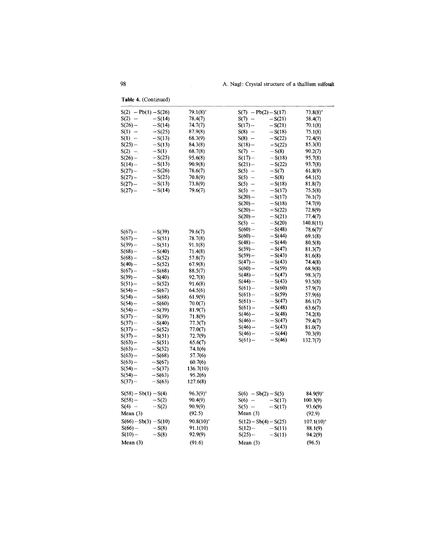**Table 4.** (Continued)

| $S(2) - Pb(1) - S(26)$  |          | $79.1(8)$ °  | $S(7) - Pb(2) - S(17)$  |          | $73.8(8)$ °   |
|-------------------------|----------|--------------|-------------------------|----------|---------------|
| $S(2) -$                | $-S(14)$ | 78.4(7)      | $S(7) -$                | $-S(21)$ | 58.4(7)       |
| $S(26) -$               | $-S(14)$ | 74.7(7)      | $S(17) -$               | $-S(21)$ | 70.1(8)       |
| $S(1) -$                | $-S(25)$ | 87.9(8)      | $S(8) -$                | $-S(18)$ | 75.1(8)       |
| $S(1) -$                | $-S(13)$ | 68.3(9)      | $S(8) -$                | $-S(22)$ | 72.4(9)       |
| $S(25)$ –               | $-S(13)$ | 84.3(8)      | $S(18) -$               | $-S(22)$ | 85.3(8)       |
| $S(2) -$                | $-S(1)$  | 68.7(8)      | $S(7) -$                | $-S(8)$  | 90.2(7)       |
| $S(26)$ –               | $-S(25)$ | 95.6(8)      | $S(17) -$               | $-S(18)$ | 95.7(8)       |
| $S(14) -$               | $-S(13)$ | 90.9(8)      | $S(21) -$               | $-S(22)$ | 93.7(8)       |
| $S(27) -$               | $-S(26)$ | 78.6(7)      | $S(5) -$                | $-S(7)$  | 61.8(9)       |
| $S(27) -$               | $-S(25)$ | 70.8(9)      | $S(5) -$                | $-S(8)$  | 64.1(5)       |
| $S(27) -$               | $-S(13)$ | 73.8(9)      | $S(5) -$                | $-S(18)$ | 81.8(7)       |
| $S(27) -$               | $-S(14)$ | 79.6(7)      | $S(5) -$                | $-S(17)$ | 75.5(8)       |
|                         |          |              | $S(20)$ –               | $-S(17)$ | 76.1(7)       |
|                         |          |              | $S(20) -$               | $-S(18)$ | 74.7(9)       |
|                         |          |              | $S(20)$ -               | $-S(22)$ | 72.8(9)       |
|                         |          |              | $S(20) -$               | $-S(21)$ | 77.4(7)       |
|                         |          |              | $S(5) -$                | $-S(20)$ | 140.8(11)     |
|                         |          |              |                         |          |               |
| $S(67) -$               | $-S(39)$ | 79.6(7)      | $S(60)$ –               | $-S(48)$ | 78.6(7)°      |
| $S(67) -$               | $-S(51)$ | 78.7(8)      | $S(60)$ –               | $-S(44)$ | 69.1(8)       |
| $S(39) -$               | $-S(51)$ | 91.1(8)      | $S(48) -$               | $-S(44)$ | 80.5(8)       |
| $S(68) -$               | $-S(40)$ | 71.4(8)      | $S(59) -$               | $-S(47)$ | 81.3(7)       |
| $S(68) -$               | $-S(52)$ | 57.8(7)      | $S(59) -$               | $-S(43)$ | 81.6(8)       |
| $S(40) -$               | $-S(52)$ | 67.9(8)      | $S(47) -$               | $-S(43)$ | 74.4(8)       |
| $S(67) -$               | $-S(68)$ | 88.5(7)      | $S(60) -$               | $-S(59)$ | 68.9(8)       |
| $S(39)$ –               | $-S(40)$ | 92.7(8)      | $S(48) -$               | $-S(47)$ | 98.3(7)       |
| $S(51) -$               | $-S(52)$ | 91.6(8)      | $S(44) -$               | $-S(43)$ | 93.5(8)       |
| $S(54) -$               | $-S(67)$ | 64.5(6)      | $S(61)$ –               | $-S(60)$ | 57.9(7)       |
| S(54)                   | $-S(68)$ | 61.9(9)      | $S(61) -$               | $-S(59)$ | 57.9(6)       |
| $S(54) -$               | $-S(60)$ | 70.0(7)      | $S(61) -$               | $-S(47)$ | 86.1(7)       |
| $S(54) -$               | $-S(39)$ | 81.9(7)      | $S(61) -$               | $-S(48)$ | 63.6(7)       |
| $S(37) -$               | $-S(39)$ | 71.8(9)      | $S(46) -$               | $-S(48)$ | 74.2(8)       |
| $S(37) -$               | $-S(40)$ | 77.3(7)      | $S(46)$ –               | $-S(47)$ | 79.4(7)       |
| $S(37) -$               | $-S(52)$ | 77.0(7)      | $S(46) -$               | $-S(43)$ | 81.0(7)       |
| $S(37) -$               | $-S(51)$ | 72.7(9)      | $S(46) -$               | $-S(44)$ | 70.3(9)       |
| $S(63)$ –               | $-S(51)$ | 65.6(7)      | $S(61) -$               | $-S(46)$ | 132.7(7)      |
| $S(63)$ –               | $-S(52)$ | 74.1(6)      |                         |          |               |
| $S(63)$ –               | $-S(68)$ | 57.7(6)      |                         |          |               |
| $S(63) -$               | $-S(67)$ | 60.7(6)      |                         |          |               |
| $S(54) -$               | $-S(37)$ | 136.7(10)    |                         |          |               |
| $S(54) -$               | $-S(63)$ | 95.2(6)      |                         |          |               |
| $S(37) -$               | $-S(63)$ | 127.6(8)     |                         |          |               |
| $S(58) - Sb(1) - S(4)$  |          | 96.3(9)°     | $S(6) - Sb(2) - S(5)$   |          | 84.9(9)°      |
| $S(58) -$               | $-S(2)$  | 90.4(9)      | $S(6) -$                | $-S(17)$ | 100.3(9)      |
| $S(4) -$                | $-S(2)$  | 90.9(9)      | $S(5) -$                | $-S(17)$ | 93.6(9)       |
| Mean $(3)$              |          | (92.5)       | Mean $(3)$              |          | (92.9)        |
| $S(66) - Sb(3) - S(10)$ |          | $90.8(10)$ ° | $S(12) - Sb(4) - S(25)$ |          | $107.1(10)$ ° |
| $S(66)$ –               | $-S(8)$  | 91.1(10)     | $S(12) -$               | $-S(11)$ | 88.1(9)       |
| $S(10) -$               | $-S(8)$  | 92.9(9)      | $S(25) -$               | $-S(11)$ | 94.2(9)       |
| Mean $(3)$              |          | (91.6)       | Mean $(3)$              |          | (96.5)        |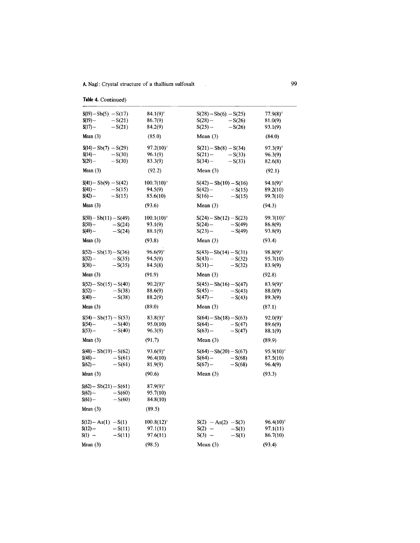**Table4.** Continued}

| $S(19) - Sb(5) - S(17)$  | 84.1(9)°             | $S(28) - Sb(6) - S(25)$  | $77.9(8)$ °      |
|--------------------------|----------------------|--------------------------|------------------|
| $S(19) -$<br>$-S(21)$    | 86.7(9)              | $S(28)$ –<br>$-S(26)$    | 81.0(9)          |
| $S(17) -$<br>$-S(21)$    | 84.2(9)              | $S(25)$ –<br>$-S(26)$    | 93.1(9)          |
| Mean $(3)$               | (85.0)               | Mean $(3)$               | (84.0)           |
| $S(14) - Sb(7) - S(29)$  | 97.2(10)°            | $S(21) - Sb(8) - S(34)$  | $97.3(9)$ °      |
| $S(14)$ –<br>$-S(30)$    | 96.1(9)              | $S(21)$ –<br>$-S(33)$    | 96.3(9)          |
| $S(29) -$<br>$-S(30)$    | 83.3(9)              | $S(34) -$<br>$-S(33)$    | 82.6(8)          |
| Mean $(3)$               | (92.2)               | Mean $(3)$               | (92.1)           |
| $S(41) - Sb(9) - S(42)$  | $100.7(10)$ °        | $S(42) - Sb(10) - S(16)$ | $94.1(9)^\circ$  |
| $S(41) -$<br>$-S(15)$    | 94.5(9)              | $S(42) -$<br>$-S(15)$    | 89.2(10)         |
| $S(42) -$<br>$-S(15)$    | 85.6(10)             | $S(16)$ –<br>$-S(15)$    | 99.7(10)         |
| Mean $(3)$               | (93.6)               | Mean $(3)$               | (94.3)           |
| $S(50) - Sb(11) - S(49)$ | $100.1(10)$ °        | $S(24) - Sb(12) - S(23)$ | $99.7(10)$ °     |
| $S(50)$ —<br>$-S(24)$    | 93.1(9)              | $S(24) -$<br>$-S(49)$    | 86.8(9)          |
| $S(49) -$<br>$-S(24)$    | 88.1(9)              | $S(23)$ –<br>$-S(49)$    | 93.8(9)          |
| Mean $(3)$               | (93.8)               | Mean $(3)$               | (93.4)           |
| $S(52) - Sb(13) - S(36)$ | $96.6(9)$ °          | $S(43) - Sb(14) - S(31)$ | $98.8(9)$ °      |
| $-S(35)$                 | 94.5(9)              | $S(43)$ –                |                  |
| $S(52) -$                |                      | $-S(32)$                 | 95.7(10)         |
| $S(36)$ –<br>$-S(35)$    | 84.5(8)              | $S(31) -$<br>$-S(32)$    | 83.9(9)          |
| Mean $(3)$               | (91.9)               | Mean $(3)$               | (92.8)           |
| $S(52) - Sb(15) - S(40)$ | $90.2(9)$ °          | $S(45) - Sb(16) - S(47)$ | $83.9(9)^\circ$  |
| $S(52) -$<br>$-S(38)$    | 88.6(9)              | S(45)<br>$-S(43)$        | 88.0(9)          |
| $S(40) -$<br>$-S(38)$    | 88.2(9)              | $S(47) -$<br>$-S(43)$    | 89.3(9)          |
| Mean $(3)$               | (89.0)               | Mean $(3)$               | (87.1)           |
| $S(54) - Sb(17) - S(53)$ | 83.8(9)°             | $S(64) - Sb(18) - S(63)$ | $92.0(9)^\circ$  |
| $S(54) -$<br>$-S(40)$    | 95.0(10)             | $S(64) -$<br>$-S(47)$    | 89.6(9)          |
| $S(53)$ –<br>$-S(40)$    | 96.3(9)              | $S(63)$ –<br>$-S(47)$    | 88.1(9)          |
| Mean $(3)$               | (91.7)               | Mean $(3)$               | (89.9)           |
| $S(48) - Sb(19) - S(62)$ | 93.6(9) <sup>o</sup> | $S(64) - Sb(20) - S(67)$ | $95.9(10)$ °     |
| $S(48) -$<br>$-S(61)$    | 96.4(10)             | $S(64)$ –<br>$-S(68)$    | 87.5(10)         |
| $S(62) -$<br>$-S(61)$    | 81.9(9)              | $S(67)$ –<br>$-S(68)$    | 96.4(9)          |
| Mean $(3)$               | (90.6)               | Mean $(3)$               | (93.3)           |
| $S(62) - Sb(21) - S(61)$ | $87.9(9)^\circ$      |                          |                  |
| $-S(60)$<br>$S(62) -$    | 95.7(10)             |                          |                  |
| $S(61) -$<br>$-S(60)$    | 84.8(10)             |                          |                  |
| Mean $(3)$               | (89.5)               |                          |                  |
|                          |                      |                          |                  |
| $S(12) - As(1) - S(1)$   | $100.8(12)^\circ$    | $S(2) - As(2) - S(3)$    | $96.4(10)^\circ$ |
| $S(12) -$<br>$-S(11)$    | 97.1(11)             | $S(2) -$<br>$-S(1)$      | 97.1(11)         |
| $S(1) -$<br>$-S(11)$     | 97.6(11)             | $S(3) -$<br>$-S(1)$      | 86.7(10)         |
| Mean $(3)$               | (98.5)               | Mean $(3)$               | (93.4)           |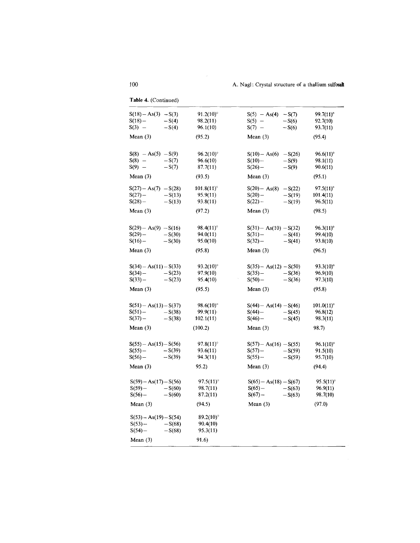| $S(18) - As(3) - S(3)$<br>$91.2(10)$ °<br>$S(5) - As(4) - S(7)$<br>99.7(11)°<br>$S(18) -$<br>$-S(4)$<br>98.2(11)<br>$S(5)$ –<br>$-S(6)$<br>92.7(10)<br>$S(3) -$<br>$-S(4)$<br>96.1(10)<br>$S(7) -$<br>$-S(6)$<br>93.7(11)<br>Mean $(3)$<br>(95.2)<br>(95.4)<br>Mean $(3)$<br>$S(8) - As(5) - S(9)$<br>96.2(10)°<br>$S(10) - As(6) - S(26)$<br>$96.6(11)$ °<br>$-S(7)$<br>96.6(10)<br>$S(8) -$<br>$S(10)$ –<br>$-S(9)$<br>98.1(11)<br>$S(9) -$<br>$-S(7)$<br>87.7(11)<br>S(26)<br>$-S(9)$<br>90.6(11)<br>Mean $(3)$<br>(93.5)<br>Mean $(3)$<br>(95.1)<br>$101.8(11)^\circ$<br>$97.5(11)^\circ$<br>$S(27) - As(7) - S(28)$<br>$S(20) - As(8)$<br>$-S(22)$<br>$S(27)$ –<br>$-S(13)$<br>95.9(11)<br>$S(20)$ –<br>$-S(19)$<br>101.4(11)<br>$-S(13)$<br>$S(22)$ –<br>$-S(19)$<br>$S(28)$ –<br>93.8(11)<br>96.5(11)<br>(97.2)<br>(98.5)<br>Mean $(3)$<br>Mean $(3)$<br>$S(29) - As(9) - S(16)$<br>$98.4(11)^\circ$<br>$S(31) - As(10) - S(32)$<br>$96.3(11)$ °<br>$S(29)$ –<br>$-S(30)$<br>94.0(11)<br>$S(31)$ –<br>$-S(41)$<br>99.4(10)<br>$S(16)$ –<br>$-S(30)$<br>95.0(10)<br>$S(32)$ -<br>$-S(41)$<br>93.8(10)<br>Mean $(3)$<br>(95.8)<br>Mean $(3)$<br>(96.5)<br>$S(34) - As(11) - S(33)$<br>$93.2(10)^\circ$<br>$S(35) - As(12) - S(50)$<br>$93.3(10)^\circ$<br>$S(34)$ –<br>$-S(23)$<br>97.9(10)<br>$S(35) -$<br>$-S(36)$<br>96.9(10)<br>$S(33)$ –<br>$-S(23)$<br>95.4(10)<br>$S(50)$ –<br>$-S(36)$<br>97.3(10)<br>(95.8)<br>Mean $(3)$<br>(95.5)<br>Mean $(3)$<br>$S(51) - As(13) - S(37)$<br>98.6(10)°<br>$S(44) - As(14) - S(46)$<br>$101.0(11)$ °<br>$S(51) -$<br>$-S(38)$<br>99.9(11)<br>$S(44) -$<br>$-S(45)$<br>96.8(12)<br>$S(37) -$<br>$-S(38)$<br>102.1(11)<br>$S(46)$ –<br>98.3(11)<br>$-S(45)$<br>Mean $(3)$<br>(100.2)<br>Mean $(3)$<br>98.7)<br>$S(55) - As(15) - S(56)$<br>97.8(11)°<br>$S(57) - As(16) - S(55)$<br>$96.1(10)$ °<br>$-S(39)$<br>$S(55)$ –<br>93.6(11)<br>$S(57) -$<br>$-S(59)$<br>91.5(10)<br>$-S(39)$<br>$S(56)$ –<br>94.3(11)<br>$S(55) -$<br>$-S(59)$<br>95.7(10)<br>Mean $(3)$<br>95.2)<br>Mean $(3)$<br>(94.4)<br>$S(59) - As(17) - S(56)$<br>$97.5(11)^\circ$<br>$S(65) - As(18) - S(67)$<br>95.5(11)°<br>$S(59) -$<br>$-S(60)$<br>98.7(11)<br>$S(65)$ –<br>96.9(11)<br>$-S(63)$<br>$S(56)$ –<br>$-S(60)$<br>$S(67)$ –<br>98.7(10)<br>87.2(11)<br>$-S(63)$<br>(97.0)<br>Mean $(3)$<br>(94.5)<br>Mean $(3)$<br>$89.2(10)^\circ$<br>$S(53) - As(19) - S(54)$<br>$S(53) -$<br>$-S(68)$<br>90.4(10)<br>$S(54) -$<br>$-S(68)$<br>95.3(11)<br>91.6)<br>Mean $(3)$ | rable 4. (Continued) |  |  |
|--------------------------------------------------------------------------------------------------------------------------------------------------------------------------------------------------------------------------------------------------------------------------------------------------------------------------------------------------------------------------------------------------------------------------------------------------------------------------------------------------------------------------------------------------------------------------------------------------------------------------------------------------------------------------------------------------------------------------------------------------------------------------------------------------------------------------------------------------------------------------------------------------------------------------------------------------------------------------------------------------------------------------------------------------------------------------------------------------------------------------------------------------------------------------------------------------------------------------------------------------------------------------------------------------------------------------------------------------------------------------------------------------------------------------------------------------------------------------------------------------------------------------------------------------------------------------------------------------------------------------------------------------------------------------------------------------------------------------------------------------------------------------------------------------------------------------------------------------------------------------------------------------------------------------------------------------------------------------------------------------------------------------------------------------------------------------------------------------------------------------------------------------------------------------------------------------------------------------------------------------------------------------------------------------------------------------------------------------------------------------------------------------------------------------------------------------------------------------------------------------|----------------------|--|--|
|                                                                                                                                                                                                                                                                                                                                                                                                                                                                                                                                                                                                                                                                                                                                                                                                                                                                                                                                                                                                                                                                                                                                                                                                                                                                                                                                                                                                                                                                                                                                                                                                                                                                                                                                                                                                                                                                                                                                                                                                                                                                                                                                                                                                                                                                                                                                                                                                                                                                                                  |                      |  |  |
|                                                                                                                                                                                                                                                                                                                                                                                                                                                                                                                                                                                                                                                                                                                                                                                                                                                                                                                                                                                                                                                                                                                                                                                                                                                                                                                                                                                                                                                                                                                                                                                                                                                                                                                                                                                                                                                                                                                                                                                                                                                                                                                                                                                                                                                                                                                                                                                                                                                                                                  |                      |  |  |
|                                                                                                                                                                                                                                                                                                                                                                                                                                                                                                                                                                                                                                                                                                                                                                                                                                                                                                                                                                                                                                                                                                                                                                                                                                                                                                                                                                                                                                                                                                                                                                                                                                                                                                                                                                                                                                                                                                                                                                                                                                                                                                                                                                                                                                                                                                                                                                                                                                                                                                  |                      |  |  |
|                                                                                                                                                                                                                                                                                                                                                                                                                                                                                                                                                                                                                                                                                                                                                                                                                                                                                                                                                                                                                                                                                                                                                                                                                                                                                                                                                                                                                                                                                                                                                                                                                                                                                                                                                                                                                                                                                                                                                                                                                                                                                                                                                                                                                                                                                                                                                                                                                                                                                                  |                      |  |  |
|                                                                                                                                                                                                                                                                                                                                                                                                                                                                                                                                                                                                                                                                                                                                                                                                                                                                                                                                                                                                                                                                                                                                                                                                                                                                                                                                                                                                                                                                                                                                                                                                                                                                                                                                                                                                                                                                                                                                                                                                                                                                                                                                                                                                                                                                                                                                                                                                                                                                                                  |                      |  |  |
|                                                                                                                                                                                                                                                                                                                                                                                                                                                                                                                                                                                                                                                                                                                                                                                                                                                                                                                                                                                                                                                                                                                                                                                                                                                                                                                                                                                                                                                                                                                                                                                                                                                                                                                                                                                                                                                                                                                                                                                                                                                                                                                                                                                                                                                                                                                                                                                                                                                                                                  |                      |  |  |
|                                                                                                                                                                                                                                                                                                                                                                                                                                                                                                                                                                                                                                                                                                                                                                                                                                                                                                                                                                                                                                                                                                                                                                                                                                                                                                                                                                                                                                                                                                                                                                                                                                                                                                                                                                                                                                                                                                                                                                                                                                                                                                                                                                                                                                                                                                                                                                                                                                                                                                  |                      |  |  |
|                                                                                                                                                                                                                                                                                                                                                                                                                                                                                                                                                                                                                                                                                                                                                                                                                                                                                                                                                                                                                                                                                                                                                                                                                                                                                                                                                                                                                                                                                                                                                                                                                                                                                                                                                                                                                                                                                                                                                                                                                                                                                                                                                                                                                                                                                                                                                                                                                                                                                                  |                      |  |  |
|                                                                                                                                                                                                                                                                                                                                                                                                                                                                                                                                                                                                                                                                                                                                                                                                                                                                                                                                                                                                                                                                                                                                                                                                                                                                                                                                                                                                                                                                                                                                                                                                                                                                                                                                                                                                                                                                                                                                                                                                                                                                                                                                                                                                                                                                                                                                                                                                                                                                                                  |                      |  |  |
|                                                                                                                                                                                                                                                                                                                                                                                                                                                                                                                                                                                                                                                                                                                                                                                                                                                                                                                                                                                                                                                                                                                                                                                                                                                                                                                                                                                                                                                                                                                                                                                                                                                                                                                                                                                                                                                                                                                                                                                                                                                                                                                                                                                                                                                                                                                                                                                                                                                                                                  |                      |  |  |
|                                                                                                                                                                                                                                                                                                                                                                                                                                                                                                                                                                                                                                                                                                                                                                                                                                                                                                                                                                                                                                                                                                                                                                                                                                                                                                                                                                                                                                                                                                                                                                                                                                                                                                                                                                                                                                                                                                                                                                                                                                                                                                                                                                                                                                                                                                                                                                                                                                                                                                  |                      |  |  |
|                                                                                                                                                                                                                                                                                                                                                                                                                                                                                                                                                                                                                                                                                                                                                                                                                                                                                                                                                                                                                                                                                                                                                                                                                                                                                                                                                                                                                                                                                                                                                                                                                                                                                                                                                                                                                                                                                                                                                                                                                                                                                                                                                                                                                                                                                                                                                                                                                                                                                                  |                      |  |  |
|                                                                                                                                                                                                                                                                                                                                                                                                                                                                                                                                                                                                                                                                                                                                                                                                                                                                                                                                                                                                                                                                                                                                                                                                                                                                                                                                                                                                                                                                                                                                                                                                                                                                                                                                                                                                                                                                                                                                                                                                                                                                                                                                                                                                                                                                                                                                                                                                                                                                                                  |                      |  |  |
|                                                                                                                                                                                                                                                                                                                                                                                                                                                                                                                                                                                                                                                                                                                                                                                                                                                                                                                                                                                                                                                                                                                                                                                                                                                                                                                                                                                                                                                                                                                                                                                                                                                                                                                                                                                                                                                                                                                                                                                                                                                                                                                                                                                                                                                                                                                                                                                                                                                                                                  |                      |  |  |
|                                                                                                                                                                                                                                                                                                                                                                                                                                                                                                                                                                                                                                                                                                                                                                                                                                                                                                                                                                                                                                                                                                                                                                                                                                                                                                                                                                                                                                                                                                                                                                                                                                                                                                                                                                                                                                                                                                                                                                                                                                                                                                                                                                                                                                                                                                                                                                                                                                                                                                  |                      |  |  |
|                                                                                                                                                                                                                                                                                                                                                                                                                                                                                                                                                                                                                                                                                                                                                                                                                                                                                                                                                                                                                                                                                                                                                                                                                                                                                                                                                                                                                                                                                                                                                                                                                                                                                                                                                                                                                                                                                                                                                                                                                                                                                                                                                                                                                                                                                                                                                                                                                                                                                                  |                      |  |  |
|                                                                                                                                                                                                                                                                                                                                                                                                                                                                                                                                                                                                                                                                                                                                                                                                                                                                                                                                                                                                                                                                                                                                                                                                                                                                                                                                                                                                                                                                                                                                                                                                                                                                                                                                                                                                                                                                                                                                                                                                                                                                                                                                                                                                                                                                                                                                                                                                                                                                                                  |                      |  |  |
|                                                                                                                                                                                                                                                                                                                                                                                                                                                                                                                                                                                                                                                                                                                                                                                                                                                                                                                                                                                                                                                                                                                                                                                                                                                                                                                                                                                                                                                                                                                                                                                                                                                                                                                                                                                                                                                                                                                                                                                                                                                                                                                                                                                                                                                                                                                                                                                                                                                                                                  |                      |  |  |

**Table 4.** (Continued)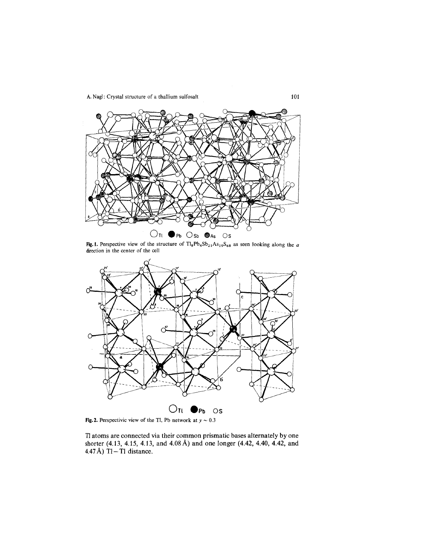

Fig.1. Perspective view of the structure of  $T_{18}Pb_4Sb_{21}As_{19}S_{68}$  as seen looking along the *a* direction in the center of the cell



Fig. 2. Perspectivic view of the Tl, Pb network at  $y \sim 0.3$ 

Tl atoms are connected via their common prismatic bases alternately by one shorter (4.13, 4.15, 4.13, and 4.08 Å) and one longer (4.42, 4.40, 4.42, and 4.47Å)  $T1-T1$  distance.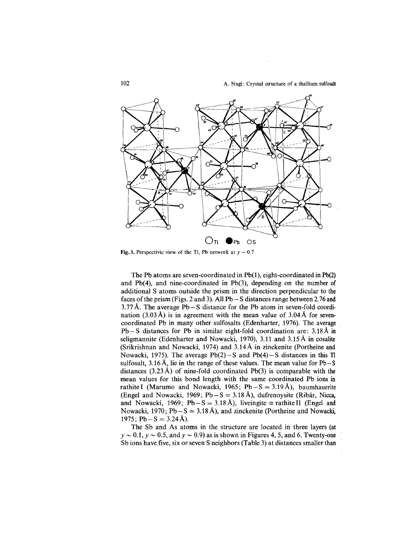.



Fig. 3. Perspectivic view of the Tl, Pb network at  $y \sim 0.7$ 

The Pb atoms are seven-coordinated in  $Pb(1)$ , eight-coordinated in  $Pb(2)$ and Pb(4), and nine-coordinated in Pb(3), depending on the number of additional S atoms outside the prism in the direction perpendicular to the faces of the prism (Figs. 2 and 3). All  $Pb - S$  distances range between 2.76 and 3.77 Å. The average  $Pb - S$  distance for the Pb atom in seven-fold coordination (3.03 Å) is in agreement with the mean value of  $3.04 \text{ Å}$  for sevencoordinated Pb in many other sulfosalts (Edenharter, 1976). The average Pb-S distances for Pb in similar eight-fold coordination are: 3.18A in seligmannite (Edenharter and Nowacki, 1970), 3.11 and 3.15A in cosalite (Srikrishnan and Nowacki, 1974) and 3.14A in zinckenite (Portheine and Nowacki, 1975). The average  $Pb(2) - S$  and  $Pb(4) - S$  distances in this Tl sulfosalt,  $3.16 \text{ Å}$ , lie in the range of these values. The mean value for Pb - S distances  $(3.23 \text{ Å})$  of nine-fold coordinated Pb(3) is comparable with the mean values for this bond length with the same coordinated Pb ions in rathite I (Marumo and Nowacki, 1965;  $Pb-S = 3.19$  Å), baumhauerite (Engel and Nowacki, 1969; Pb  $-S = 3.18 \text{ Å}$ ), dufrenoysite (Ribár, Nicca, and Nowacki, 1969; Pb-S = 3.18 Å), liveingite  $\equiv$  rathitell (Engel and Nowacki, 1970;  $Pb-S = 3.18 \text{ Å}$ ), and zinckenite (Portheine and Nowacki, 1975; Pb  $-S = 3.24$  Å).

The Sb and As atoms in the structure are located in three layers (at  $y \sim 0.1$ ,  $y \sim 0.5$ , and  $y \sim 0.9$ ) as is shown in Figures 4, 5, and 6. Twenty-one Sb ions have.five, six or seven S neighbors (Table 3) at distances smaller than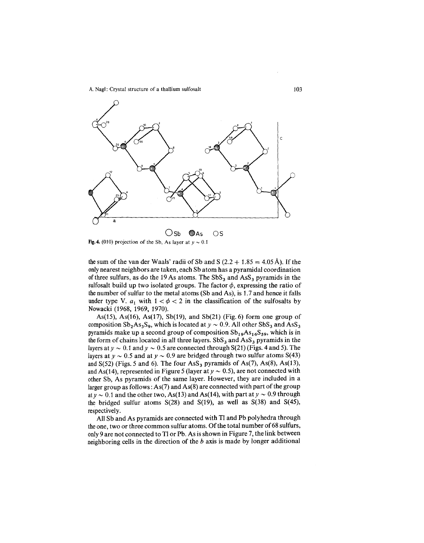

Fig. 4. (010) projection of the Sb, As layer at  $y \sim 0.1$ 

the sum of the van der Waals' radii of Sb and S  $(2.2 + 1.85 = 4.05 \text{ Å})$ . If the onlynearest neighbors are taken, each Sb atom has a pyramidal coordination of three sulfurs, as do the 19 As atoms. The  $SbS<sub>3</sub>$  and AsS<sub>3</sub> pyramids in the sulfosalt build up two isolated groups. The factor  $\phi$ , expressing the ratio of the number of sulfur to the metal atoms  $(Sb \text{ and } As)$ , is 1.7 and hence it falls under type V.  $a_1$  with  $1 < \phi < 2$  in the classification of the sulfosalts by Nowacki (1968, 1969, 1970).

As(15), As(16), As(17), Sb(19), and Sb(21) (Fig. 6) form one group of composition  $Sb_2As_3S_9$ , which is located at  $y \sim 0.9$ . All other  $SbS_3$  and  $Ass_3$ pyramids make up a second group of composition  $Sb_{19}As_{16}S_{59}$ , which is in the form of chains located in all three layers.  $SbS<sub>3</sub>$  and  $AsS<sub>3</sub>$  pyramids in the layers at  $y \sim 0.1$  and  $y \sim 0.5$  are connected through S(21) (Figs. 4 and 5). The layers at  $y \sim 0.5$  and at  $y \sim 0.9$  are bridged through two sulfur atoms S(43) and  $S(52)$  (Figs. 5 and 6). The four  $\text{AsS}_3$  pyramids of As(7), As(8), As(13), and As(14), represented in Figure 5 (layer at  $y \sim 0.5$ ), are not connected with other Sb, As pyramids of the same layer. However, they are included in a larger group as follows:  $As(7)$  and  $As(8)$  are connected with part of the group at  $y \sim 0.1$  and the other two, As(13) and As(14), with part at  $y \sim 0.9$  through the bridged sulfur atoms  $S(28)$  and  $S(19)$ , as well as  $S(38)$  and  $S(45)$ , respectively.

All Sb and As pyramids are connected with TI and Pb polyhedra through the one, two or three common sulfur atoms. Of the total number of 68 sulfurs, only9 are not connected to TI or Pb. As is shown in Figure 7, the link between neighboring cells in the direction of the *b* axis is made by longer additional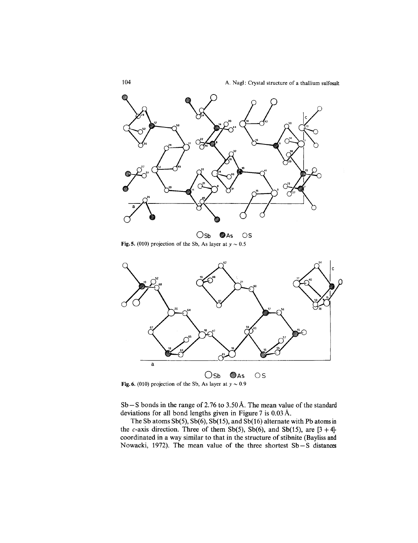

Osb @As OS Fig. 5. (010) projection of the Sb, As layer at  $y \sim 0.5$ 



Fig. 6. (010) projection of the Sb, As layer at  $y \sim 0.9$ 

 $Sb-S$  bonds in the range of 2.76 to 3.50 Å. The mean value of the standard deviations for all bond lengths given in Figure 7 is 0.03 A.

The Sb atoms Sb(5), Sb(6), Sb(15), and Sb(16) alternate with Pb atoms in the c-axis direction. Three of them Sb(5), Sb(6), and Sb(15), are  $[3 + 4]$ coordinated in a way similar to that in the structure of stibnite (Bayliss and Nowacki, 1972). The mean value of the three shortest Sb-S distances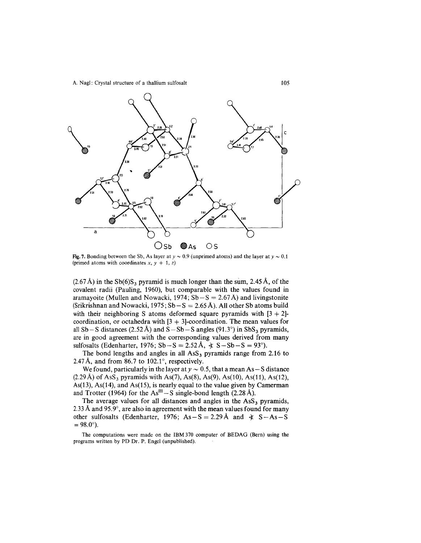

(primed atoms with coordinates  $x, y + 1, z$ )

 $(2.67 \text{ Å})$  in the Sb(6)S<sub>3</sub> pyramid is much longer than the sum, 2.45 Å, of the covalent radii (Pauling, 1960), but comparable with the values found in aramayoite (Mullen and Nowacki, 1974;  $Sb-S = 2.67$  Å) and livingstonite (Srikrishnan and Nowacki,  $1975$ ;  $Sb-S = 2.65$  Å). All other Sb atoms build with their neighboring S atoms deformed square pyramids with  $[3 + 2]$ coordination, or octahedra with  $[3 + 3]$ -coordination. The mean values for all Sb – S distances (2.52 Å) and  $S - Sb - S$  angles (91.3°) in SbS<sub>3</sub> pyramids, are in good agreement with the corresponding values derived from many sulfosalts (Edenharter, 1976; Sb - S = 2.52 Å,  $\angle$  S - Sb - S = 93°).

The bond lengths and angles in all  $\text{AsS}_3$  pyramids range from 2.16 to 2.47Å, and from 86.7 to 102.1 $^{\circ}$ , respectively.

We found, particularly in the layer at  $y \sim 0.5$ , that a mean As – S distance  $(2.29 \text{ Å})$  of AsS<sub>3</sub> pyramids with As(7), As(8), As(9), As(10), As(11), As(12), As(13), As(14), and As(15), is nearly equal to the value given by Camerman and Trotter (1964) for the  $As^{III} - S$  single-bond length (2.28 Å).

The average values for all distances and angles in the  $\text{AsS}_3$  pyramids, 2.33 Å and  $95.9^{\circ}$ , are also in agreement with the mean values found for many other sulfosalts (Edenharter, 1976;  $As - S = 2.29 \text{ Å}$  and  $\angle S - As$  $= 98.0^{\circ}$ ).

The computations were made on the IBM 370 computer of BEDAG (Bern) using the programs written by PD Dr. P. Engel (unpublished).